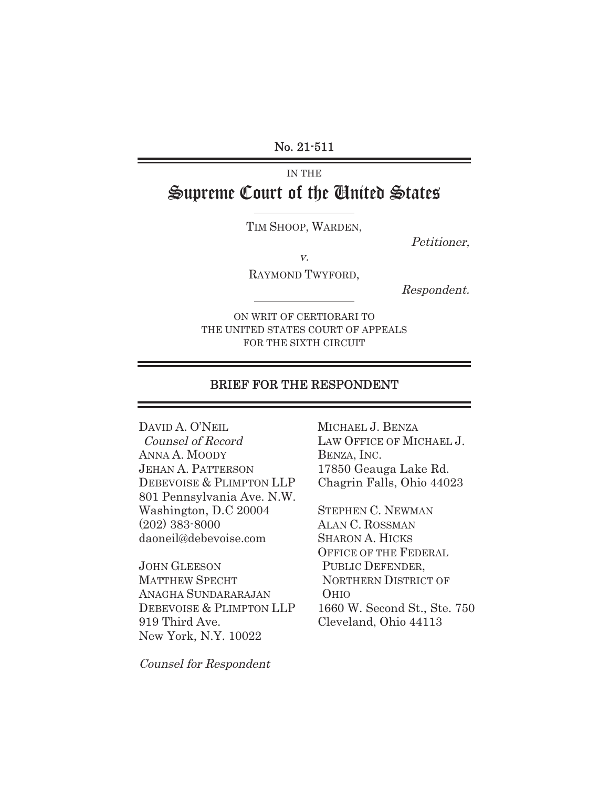No. 21-511

# IN THE Supreme Court of the United States

TIM SHOOP, WARDEN,

Petitioner,

v.

RAYMOND TWYFORD,

Respondent.

ON WRIT OF CERTIORARI TO THE UNITED STATES COURT OF APPEALS FOR THE SIXTH CIRCUIT

### BRIEF FOR THE RESPONDENT

DAVID A. O'NEIL Counsel of Record ANNA A. MOODY JEHAN A. PATTERSON DEBEVOISE & PLIMPTON LLP 801 Pennsylvania Ave. N.W. Washington, D.C 20004 (202) 383-8000 daoneil@debevoise.com

JOHN GLEESON MATTHEW SPECHT ANAGHA SUNDARARAJAN DEBEVOISE & PLIMPTON LLP 919 Third Ave. New York, N.Y. 10022

MICHAEL J. BENZA LAW OFFICE OF MICHAEL J. BENZA, INC. 17850 Geauga Lake Rd. Chagrin Falls, Ohio 44023

STEPHEN C. NEWMAN ALAN C. ROSSMAN SHARON A. HICKS OFFICE OF THE FEDERAL PUBLIC DEFENDER, NORTHERN DISTRICT OF OHIO 1660 W. Second St., Ste. 750 Cleveland, Ohio 44113

Counsel for Respondent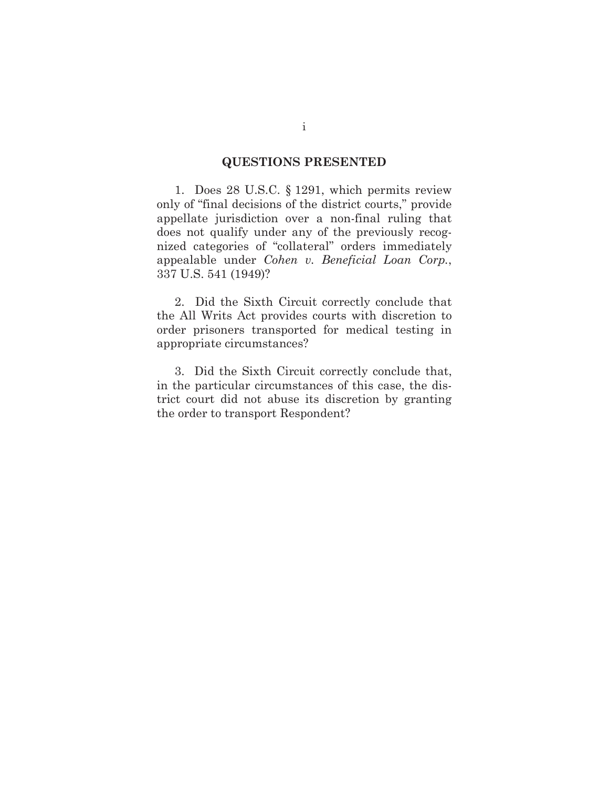## **QUESTIONS PRESENTED**

1. Does 28 U.S.C. § 1291, which permits review only of "final decisions of the district courts," provide appellate jurisdiction over a non-final ruling that does not qualify under any of the previously recognized categories of "collateral" orders immediately appealable under *Cohen v. Beneficial Loan Corp.*, 337 U.S. 541 (1949)?

2. Did the Sixth Circuit correctly conclude that the All Writs Act provides courts with discretion to order prisoners transported for medical testing in appropriate circumstances?

3. Did the Sixth Circuit correctly conclude that, in the particular circumstances of this case, the district court did not abuse its discretion by granting the order to transport Respondent?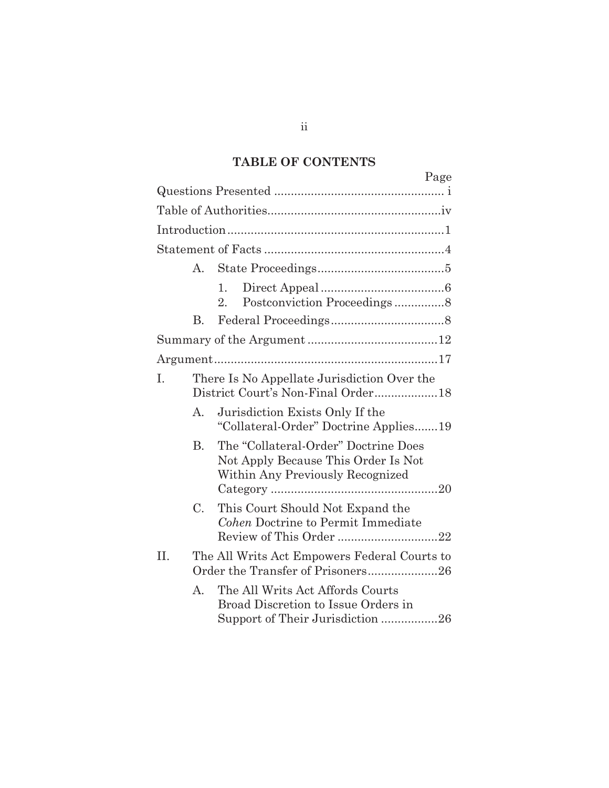# **TABLE OF CONTENTS**

|              | Page                                                                                                            |  |  |
|--------------|-----------------------------------------------------------------------------------------------------------------|--|--|
|              |                                                                                                                 |  |  |
|              |                                                                                                                 |  |  |
|              |                                                                                                                 |  |  |
|              |                                                                                                                 |  |  |
| А.           |                                                                                                                 |  |  |
|              | 1.<br>Postconviction Proceedings8<br>$2_{-}$                                                                    |  |  |
| В.           |                                                                                                                 |  |  |
|              |                                                                                                                 |  |  |
|              |                                                                                                                 |  |  |
| Ι.           | There Is No Appellate Jurisdiction Over the                                                                     |  |  |
| A.           | Jurisdiction Exists Only If the<br>"Collateral-Order" Doctrine Applies19                                        |  |  |
| $\rm B$ .    | The "Collateral-Order" Doctrine Does<br>Not Apply Because This Order Is Not<br>Within Any Previously Recognized |  |  |
| $C_{\cdot}$  | This Court Should Not Expand the<br>Cohen Doctrine to Permit Immediate<br>Review of This Order 22               |  |  |
| II.          | The All Writs Act Empowers Federal Courts to<br>Order the Transfer of Prisoners26                               |  |  |
| $\mathsf{A}$ | The All Writs Act Affords Courts<br>Broad Discretion to Issue Orders in<br>Support of Their Jurisdiction 26     |  |  |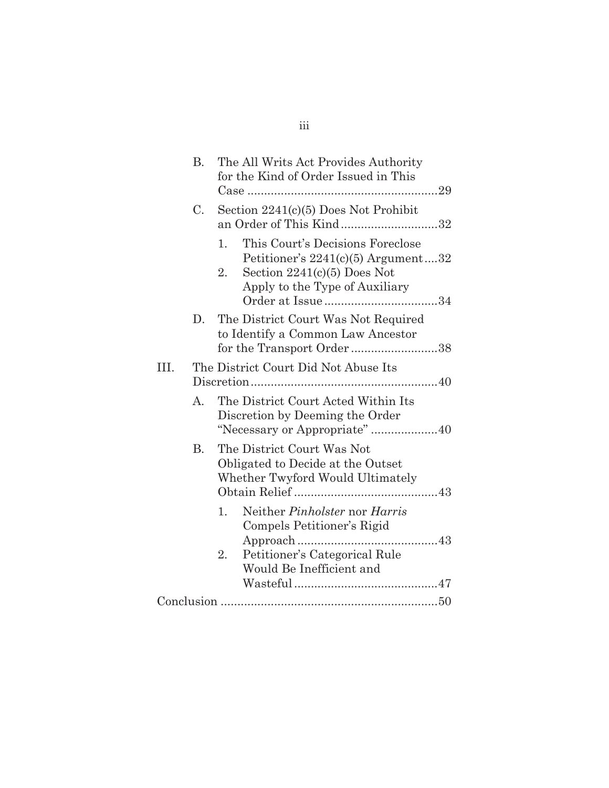|      | В.        | The All Writs Act Provides Authority<br>for the Kind of Order Issued in This                                                                                 |
|------|-----------|--------------------------------------------------------------------------------------------------------------------------------------------------------------|
|      | C.        | Section $2241(c)(5)$ Does Not Prohibit<br>an Order of This Kind32                                                                                            |
|      |           | This Court's Decisions Foreclose<br>1.<br>Petitioner's $2241(c)(5)$ Argument32<br>Section $2241(c)(5)$ Does Not<br>$2_{-}$<br>Apply to the Type of Auxiliary |
|      | D.        | The District Court Was Not Required<br>to Identify a Common Law Ancestor<br>for the Transport Order38                                                        |
| III. |           | The District Court Did Not Abuse Its                                                                                                                         |
|      | A.        | The District Court Acted Within Its<br>Discretion by Deeming the Order                                                                                       |
|      | <b>B.</b> | The District Court Was Not<br>Obligated to Decide at the Outset<br>Whether Twyford Would Ultimately                                                          |
|      |           | Neither Pinholster nor Harris<br>1.<br>Compels Petitioner's Rigid<br>Petitioner's Categorical Rule<br>2.<br>Would Be Inefficient and                         |
|      |           |                                                                                                                                                              |

# iii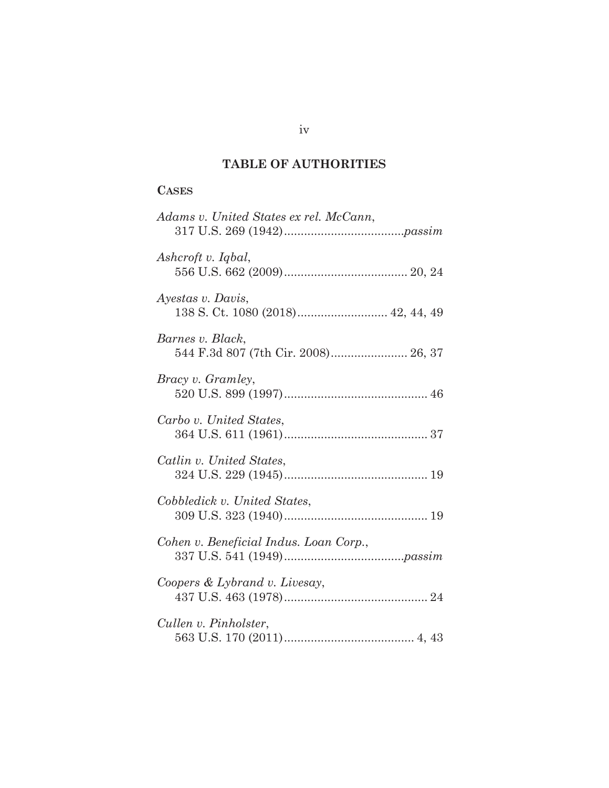## **TABLE OF AUTHORITIES**

## **CASES**

| Adams v. United States ex rel. McCann,                  |
|---------------------------------------------------------|
| Ashcroft v. Iqbal,                                      |
| Ayestas v. Davis,                                       |
| Barnes v. Black,<br>544 F.3d 807 (7th Cir. 2008) 26, 37 |
| <i>Bracy v. Gramley,</i>                                |
| Carbo v. United States,                                 |
| Catlin v. United States,                                |
| Cobbledick v. United States,                            |
| Cohen v. Beneficial Indus. Loan Corp.,                  |
| Coopers & Lybrand v. Livesay,                           |
| Cullen v. Pinholster,                                   |

iv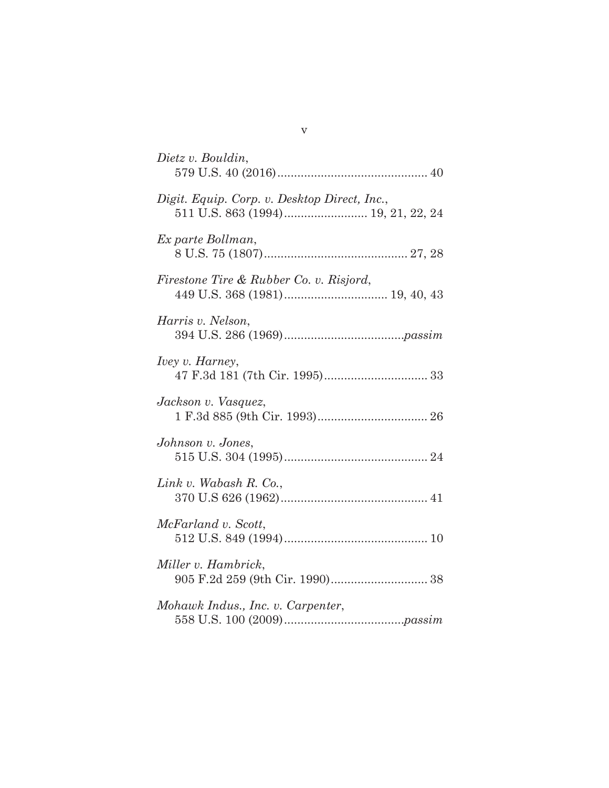| Dietz v. Bouldin,                            |
|----------------------------------------------|
| Digit. Equip. Corp. v. Desktop Direct, Inc., |
| Ex parte Bollman,                            |
| Firestone Tire & Rubber Co. v. Risjord,      |
| Harris v. Nelson,                            |
| <i>Ivey v. Harney,</i>                       |
| Jackson v. Vasquez,                          |
| Johnson v. Jones,                            |
| Link v. Wabash $R$ . Co.,                    |
| McFarland v. Scott,                          |
| Miller v. Hambrick,                          |
| Mohawk Indus., Inc. v. Carpenter,            |
|                                              |

v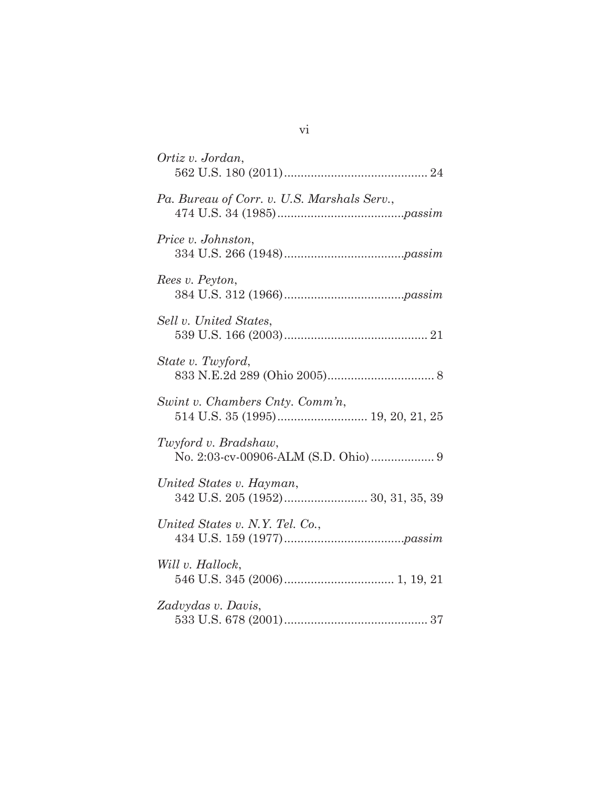| Ortiz v. Jordan,                                                     |
|----------------------------------------------------------------------|
| Pa. Bureau of Corr. v. U.S. Marshals Serv.,                          |
| Price v. Johnston,                                                   |
| Rees v. Peyton,                                                      |
| Sell v. United States,                                               |
| State v. Twyford,                                                    |
| Swint v. Chambers Cnty. Comm'n,<br>514 U.S. 35 (1995) 19, 20, 21, 25 |
| Twyford v. Bradshaw,                                                 |
| United States v. Hayman,                                             |
| United States v. N.Y. Tel. Co.,                                      |
| Will v. Hallock,                                                     |
| Zadvydas v. Davis,                                                   |

vi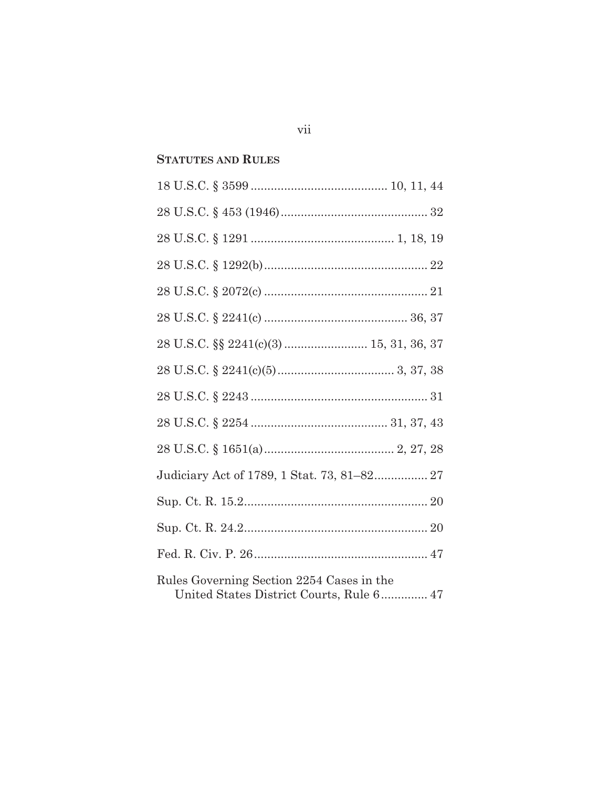## **STATUTES AND RULES**

| Rules Governing Section 2254 Cases in the |
|-------------------------------------------|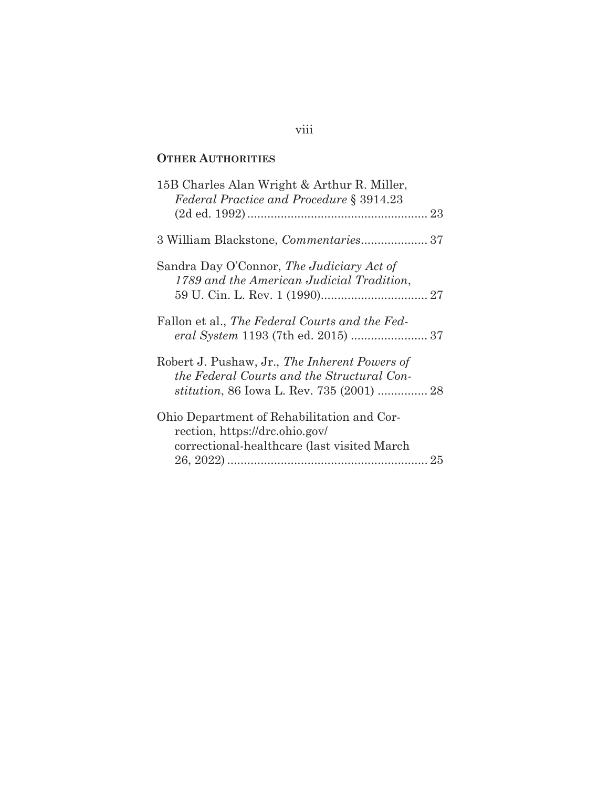## **OTHER AUTHORITIES**

| 3 William Blackstone, Commentaries 37 |
|---------------------------------------|
|                                       |
|                                       |
|                                       |
|                                       |
|                                       |

## viii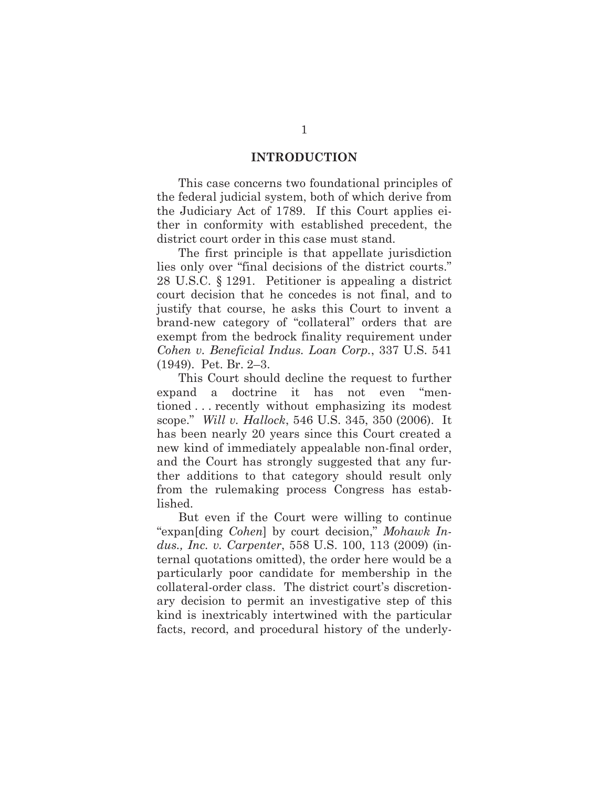#### **INTRODUCTION**

This case concerns two foundational principles of the federal judicial system, both of which derive from the Judiciary Act of 1789. If this Court applies either in conformity with established precedent, the district court order in this case must stand.

The first principle is that appellate jurisdiction lies only over "final decisions of the district courts." 28 U.S.C. § 1291. Petitioner is appealing a district court decision that he concedes is not final, and to justify that course, he asks this Court to invent a brand-new category of "collateral" orders that are exempt from the bedrock finality requirement under *Cohen v. Beneficial Indus. Loan Corp.*, 337 U.S. 541 (1949). Pet. Br. 2–3.

This Court should decline the request to further expand a doctrine it has not even "mentioned . . . recently without emphasizing its modest scope." *Will v. Hallock*, 546 U.S. 345, 350 (2006). It has been nearly 20 years since this Court created a new kind of immediately appealable non-final order, and the Court has strongly suggested that any further additions to that category should result only from the rulemaking process Congress has established.

But even if the Court were willing to continue "expan[ding *Cohen*] by court decision," *Mohawk Indus., Inc. v. Carpenter*, 558 U.S. 100, 113 (2009) (internal quotations omitted), the order here would be a particularly poor candidate for membership in the collateral-order class. The district court's discretionary decision to permit an investigative step of this kind is inextricably intertwined with the particular facts, record, and procedural history of the underly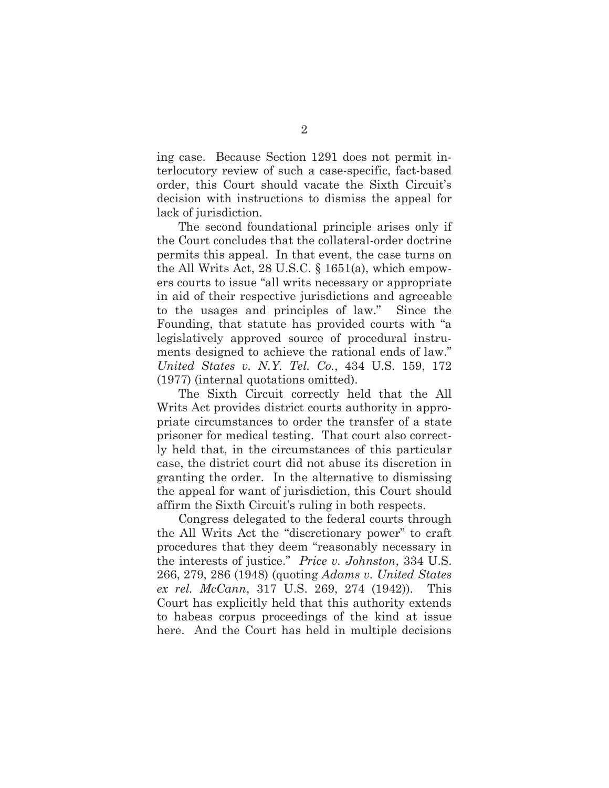ing case. Because Section 1291 does not permit interlocutory review of such a case-specific, fact-based order, this Court should vacate the Sixth Circuit's decision with instructions to dismiss the appeal for lack of jurisdiction.

The second foundational principle arises only if the Court concludes that the collateral-order doctrine permits this appeal. In that event, the case turns on the All Writs Act, 28 U.S.C. § 1651(a), which empowers courts to issue "all writs necessary or appropriate in aid of their respective jurisdictions and agreeable to the usages and principles of law." Since the Founding, that statute has provided courts with "a legislatively approved source of procedural instruments designed to achieve the rational ends of law." *United States v. N.Y. Tel. Co.*, 434 U.S. 159, 172 (1977) (internal quotations omitted).

The Sixth Circuit correctly held that the All Writs Act provides district courts authority in appropriate circumstances to order the transfer of a state prisoner for medical testing. That court also correctly held that, in the circumstances of this particular case, the district court did not abuse its discretion in granting the order. In the alternative to dismissing the appeal for want of jurisdiction, this Court should affirm the Sixth Circuit's ruling in both respects.

Congress delegated to the federal courts through the All Writs Act the "discretionary power" to craft procedures that they deem "reasonably necessary in the interests of justice." *Price v. Johnston*, 334 U.S. 266, 279, 286 (1948) (quoting *Adams v. United States ex rel. McCann*, 317 U.S. 269, 274 (1942)). This Court has explicitly held that this authority extends to habeas corpus proceedings of the kind at issue here. And the Court has held in multiple decisions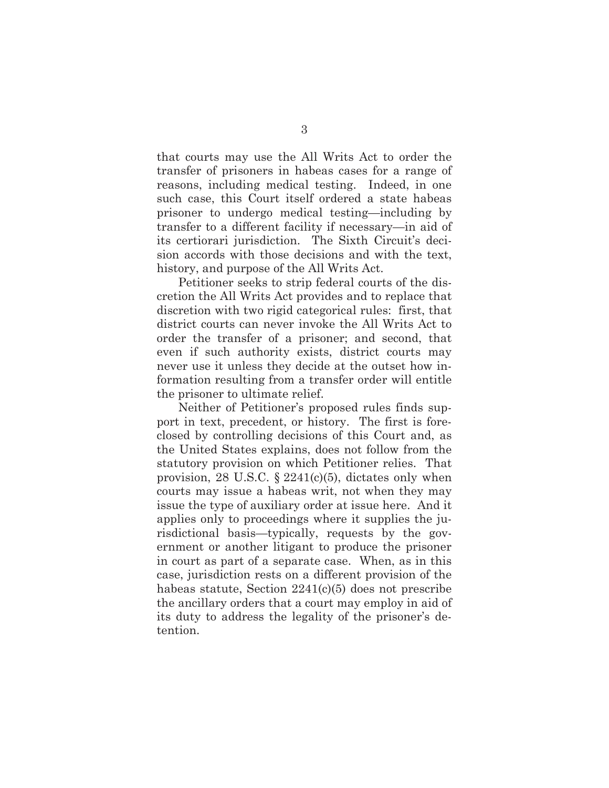that courts may use the All Writs Act to order the transfer of prisoners in habeas cases for a range of reasons, including medical testing. Indeed, in one such case, this Court itself ordered a state habeas prisoner to undergo medical testing—including by transfer to a different facility if necessary—in aid of its certiorari jurisdiction. The Sixth Circuit's decision accords with those decisions and with the text, history, and purpose of the All Writs Act.

Petitioner seeks to strip federal courts of the discretion the All Writs Act provides and to replace that discretion with two rigid categorical rules: first, that district courts can never invoke the All Writs Act to order the transfer of a prisoner; and second, that even if such authority exists, district courts may never use it unless they decide at the outset how information resulting from a transfer order will entitle the prisoner to ultimate relief.

Neither of Petitioner's proposed rules finds support in text, precedent, or history. The first is foreclosed by controlling decisions of this Court and, as the United States explains, does not follow from the statutory provision on which Petitioner relies. That provision, 28 U.S.C.  $\S$  2241(c)(5), dictates only when courts may issue a habeas writ, not when they may issue the type of auxiliary order at issue here. And it applies only to proceedings where it supplies the jurisdictional basis—typically, requests by the government or another litigant to produce the prisoner in court as part of a separate case. When, as in this case, jurisdiction rests on a different provision of the habeas statute, Section 2241(c)(5) does not prescribe the ancillary orders that a court may employ in aid of its duty to address the legality of the prisoner's detention.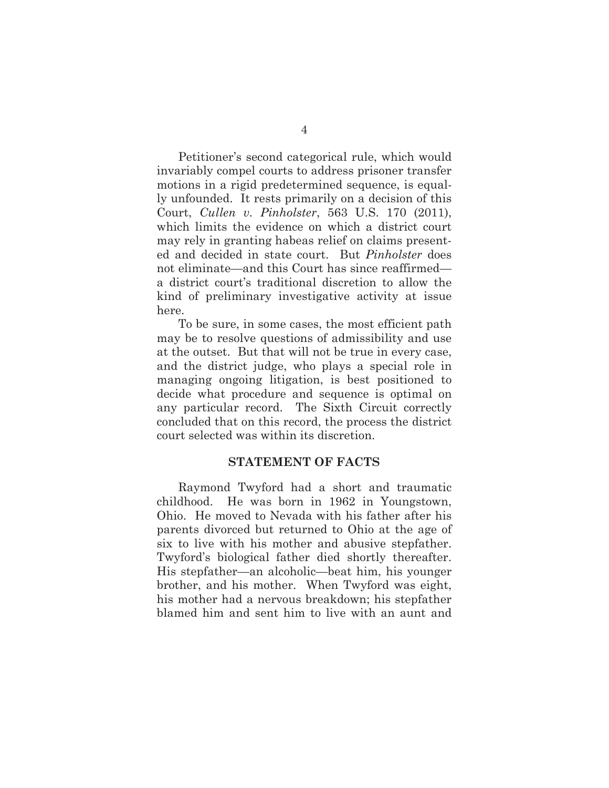Petitioner's second categorical rule, which would invariably compel courts to address prisoner transfer motions in a rigid predetermined sequence, is equally unfounded. It rests primarily on a decision of this Court, *Cullen v. Pinholster*, 563 U.S. 170 (2011), which limits the evidence on which a district court may rely in granting habeas relief on claims presented and decided in state court. But *Pinholster* does not eliminate—and this Court has since reaffirmed a district court's traditional discretion to allow the kind of preliminary investigative activity at issue here.

To be sure, in some cases, the most efficient path may be to resolve questions of admissibility and use at the outset. But that will not be true in every case, and the district judge, who plays a special role in managing ongoing litigation, is best positioned to decide what procedure and sequence is optimal on any particular record. The Sixth Circuit correctly concluded that on this record, the process the district court selected was within its discretion.

#### **STATEMENT OF FACTS**

Raymond Twyford had a short and traumatic childhood. He was born in 1962 in Youngstown, Ohio. He moved to Nevada with his father after his parents divorced but returned to Ohio at the age of six to live with his mother and abusive stepfather. Twyford's biological father died shortly thereafter. His stepfather—an alcoholic—beat him, his younger brother, and his mother. When Twyford was eight, his mother had a nervous breakdown; his stepfather blamed him and sent him to live with an aunt and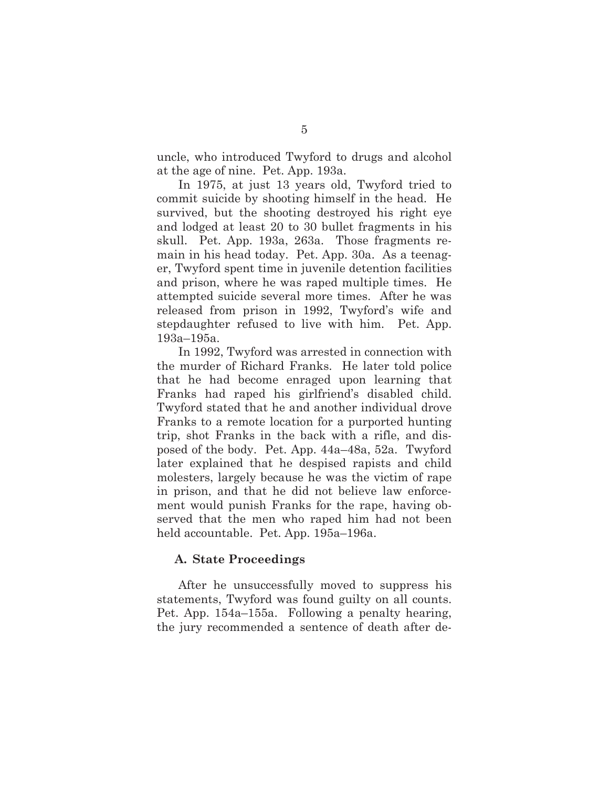uncle, who introduced Twyford to drugs and alcohol at the age of nine. Pet. App. 193a.

In 1975, at just 13 years old, Twyford tried to commit suicide by shooting himself in the head. He survived, but the shooting destroyed his right eye and lodged at least 20 to 30 bullet fragments in his skull. Pet. App. 193a, 263a. Those fragments remain in his head today. Pet. App. 30a. As a teenager, Twyford spent time in juvenile detention facilities and prison, where he was raped multiple times. He attempted suicide several more times. After he was released from prison in 1992, Twyford's wife and stepdaughter refused to live with him. Pet. App. 193a–195a.

In 1992, Twyford was arrested in connection with the murder of Richard Franks. He later told police that he had become enraged upon learning that Franks had raped his girlfriend's disabled child. Twyford stated that he and another individual drove Franks to a remote location for a purported hunting trip, shot Franks in the back with a rifle, and disposed of the body. Pet. App. 44a–48a, 52a. Twyford later explained that he despised rapists and child molesters, largely because he was the victim of rape in prison, and that he did not believe law enforcement would punish Franks for the rape, having observed that the men who raped him had not been held accountable. Pet. App. 195a–196a.

#### **A. State Proceedings**

After he unsuccessfully moved to suppress his statements, Twyford was found guilty on all counts. Pet. App. 154a–155a. Following a penalty hearing, the jury recommended a sentence of death after de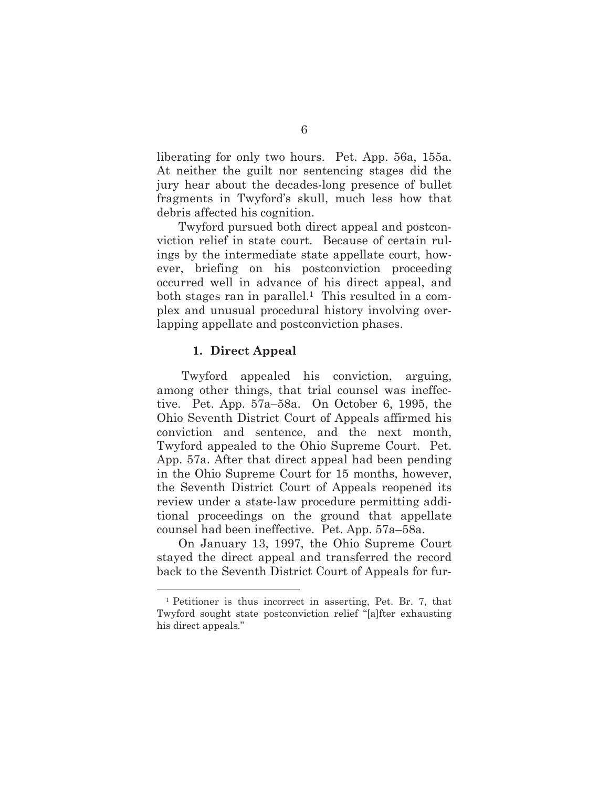liberating for only two hours. Pet. App. 56a, 155a. At neither the guilt nor sentencing stages did the jury hear about the decades-long presence of bullet fragments in Twyford's skull, much less how that debris affected his cognition.

Twyford pursued both direct appeal and postconviction relief in state court. Because of certain rulings by the intermediate state appellate court, however, briefing on his postconviction proceeding occurred well in advance of his direct appeal, and both stages ran in parallel.1 This resulted in a complex and unusual procedural history involving overlapping appellate and postconviction phases.

#### **1. Direct Appeal**

Twyford appealed his conviction, arguing, among other things, that trial counsel was ineffective. Pet. App. 57a–58a. On October 6, 1995, the Ohio Seventh District Court of Appeals affirmed his conviction and sentence, and the next month, Twyford appealed to the Ohio Supreme Court. Pet. App. 57a. After that direct appeal had been pending in the Ohio Supreme Court for 15 months, however, the Seventh District Court of Appeals reopened its review under a state-law procedure permitting additional proceedings on the ground that appellate counsel had been ineffective. Pet. App. 57a–58a.

On January 13, 1997, the Ohio Supreme Court stayed the direct appeal and transferred the record back to the Seventh District Court of Appeals for fur-

<sup>1</sup> Petitioner is thus incorrect in asserting, Pet. Br. 7, that Twyford sought state postconviction relief "[a]fter exhausting his direct appeals."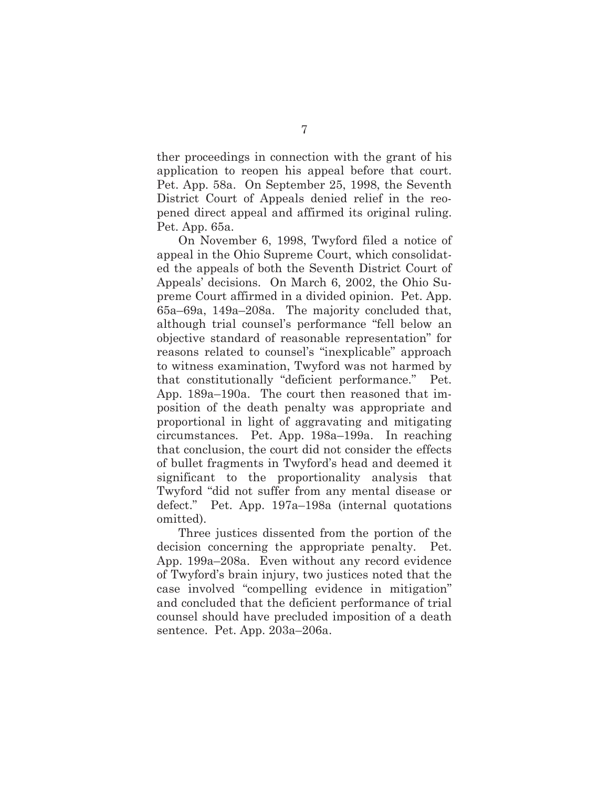ther proceedings in connection with the grant of his application to reopen his appeal before that court. Pet. App. 58a. On September 25, 1998, the Seventh District Court of Appeals denied relief in the reopened direct appeal and affirmed its original ruling. Pet. App. 65a.

On November 6, 1998, Twyford filed a notice of appeal in the Ohio Supreme Court, which consolidated the appeals of both the Seventh District Court of Appeals' decisions. On March 6, 2002, the Ohio Supreme Court affirmed in a divided opinion. Pet. App. 65a–69a, 149a–208a. The majority concluded that, although trial counsel's performance "fell below an objective standard of reasonable representation" for reasons related to counsel's "inexplicable" approach to witness examination, Twyford was not harmed by that constitutionally "deficient performance." Pet. App. 189a–190a. The court then reasoned that imposition of the death penalty was appropriate and proportional in light of aggravating and mitigating circumstances. Pet. App. 198a–199a. In reaching that conclusion, the court did not consider the effects of bullet fragments in Twyford's head and deemed it significant to the proportionality analysis that Twyford "did not suffer from any mental disease or defect." Pet. App. 197a–198a (internal quotations omitted).

Three justices dissented from the portion of the decision concerning the appropriate penalty. Pet. App. 199a–208a. Even without any record evidence of Twyford's brain injury, two justices noted that the case involved "compelling evidence in mitigation" and concluded that the deficient performance of trial counsel should have precluded imposition of a death sentence. Pet. App. 203a–206a.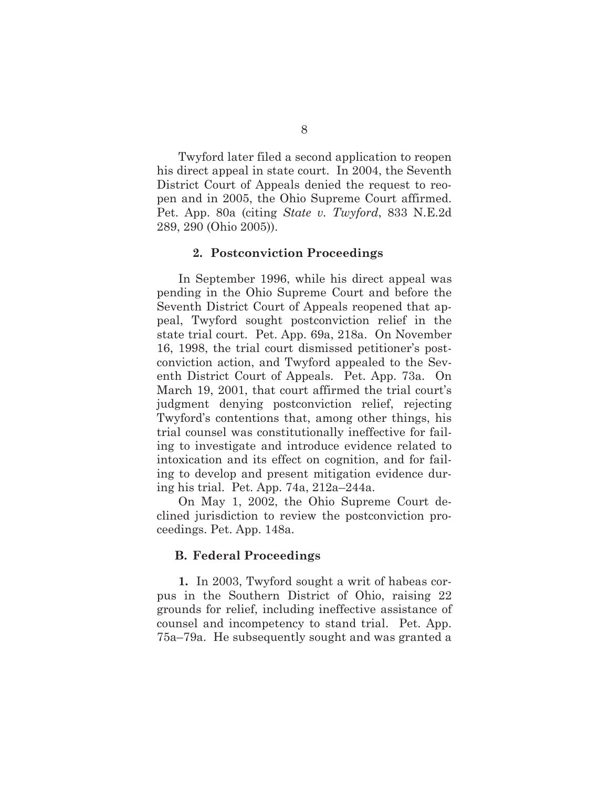Twyford later filed a second application to reopen his direct appeal in state court. In 2004, the Seventh District Court of Appeals denied the request to reopen and in 2005, the Ohio Supreme Court affirmed. Pet. App. 80a (citing *State v. Twyford*, 833 N.E.2d 289, 290 (Ohio 2005)).

#### **2. Postconviction Proceedings**

In September 1996, while his direct appeal was pending in the Ohio Supreme Court and before the Seventh District Court of Appeals reopened that appeal, Twyford sought postconviction relief in the state trial court. Pet. App. 69a, 218a. On November 16, 1998, the trial court dismissed petitioner's postconviction action, and Twyford appealed to the Seventh District Court of Appeals. Pet. App. 73a. On March 19, 2001, that court affirmed the trial court's judgment denying postconviction relief, rejecting Twyford's contentions that, among other things, his trial counsel was constitutionally ineffective for failing to investigate and introduce evidence related to intoxication and its effect on cognition, and for failing to develop and present mitigation evidence during his trial. Pet. App. 74a, 212a–244a.

On May 1, 2002, the Ohio Supreme Court declined jurisdiction to review the postconviction proceedings. Pet. App. 148a.

#### **B. Federal Proceedings**

**1.** In 2003, Twyford sought a writ of habeas corpus in the Southern District of Ohio, raising 22 grounds for relief, including ineffective assistance of counsel and incompetency to stand trial. Pet. App. 75a–79a. He subsequently sought and was granted a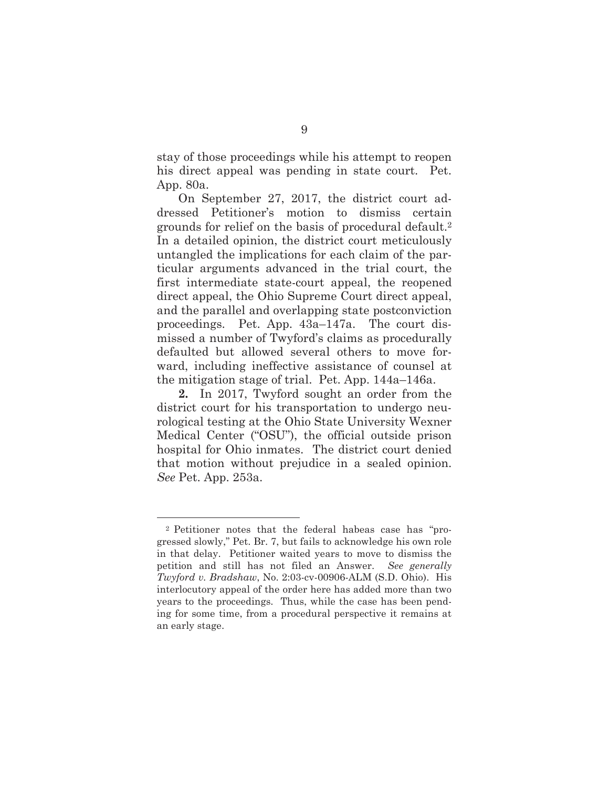stay of those proceedings while his attempt to reopen his direct appeal was pending in state court. Pet. App. 80a.

On September 27, 2017, the district court addressed Petitioner's motion to dismiss certain grounds for relief on the basis of procedural default.2 In a detailed opinion, the district court meticulously untangled the implications for each claim of the particular arguments advanced in the trial court, the first intermediate state-court appeal, the reopened direct appeal, the Ohio Supreme Court direct appeal, and the parallel and overlapping state postconviction proceedings. Pet. App. 43a–147a. The court dismissed a number of Twyford's claims as procedurally defaulted but allowed several others to move forward, including ineffective assistance of counsel at the mitigation stage of trial. Pet. App. 144a–146a.

**2.** In 2017, Twyford sought an order from the district court for his transportation to undergo neurological testing at the Ohio State University Wexner Medical Center ("OSU"), the official outside prison hospital for Ohio inmates. The district court denied that motion without prejudice in a sealed opinion. *See* Pet. App. 253a.

<sup>2</sup> Petitioner notes that the federal habeas case has "progressed slowly," Pet. Br. 7, but fails to acknowledge his own role in that delay. Petitioner waited years to move to dismiss the petition and still has not filed an Answer. *See generally Twyford v. Bradshaw*, No. 2:03-cv-00906-ALM (S.D. Ohio). His interlocutory appeal of the order here has added more than two years to the proceedings. Thus, while the case has been pending for some time, from a procedural perspective it remains at an early stage.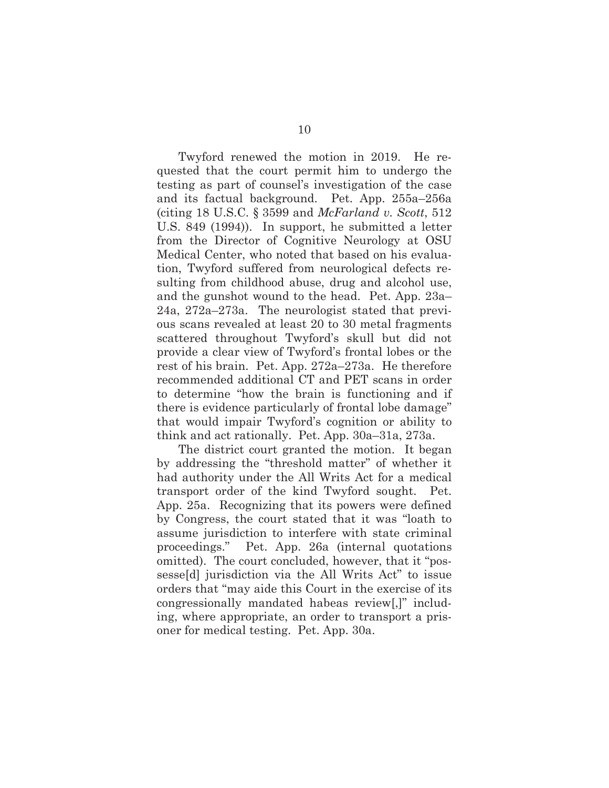Twyford renewed the motion in 2019. He requested that the court permit him to undergo the testing as part of counsel's investigation of the case and its factual background. Pet. App. 255a–256a (citing 18 U.S.C. § 3599 and *McFarland v. Scott*, 512 U.S. 849 (1994)). In support, he submitted a letter from the Director of Cognitive Neurology at OSU Medical Center, who noted that based on his evaluation, Twyford suffered from neurological defects resulting from childhood abuse, drug and alcohol use, and the gunshot wound to the head. Pet. App. 23a– 24a, 272a–273a. The neurologist stated that previous scans revealed at least 20 to 30 metal fragments scattered throughout Twyford's skull but did not provide a clear view of Twyford's frontal lobes or the rest of his brain. Pet. App. 272a–273a. He therefore recommended additional CT and PET scans in order to determine "how the brain is functioning and if there is evidence particularly of frontal lobe damage" that would impair Twyford's cognition or ability to think and act rationally. Pet. App. 30a–31a, 273a.

The district court granted the motion. It began by addressing the "threshold matter" of whether it had authority under the All Writs Act for a medical transport order of the kind Twyford sought. Pet. App. 25a. Recognizing that its powers were defined by Congress, the court stated that it was "loath to assume jurisdiction to interfere with state criminal proceedings." Pet. App. 26a (internal quotations omitted). The court concluded, however, that it "possesse[d] jurisdiction via the All Writs Act" to issue orders that "may aide this Court in the exercise of its congressionally mandated habeas review[,]" including, where appropriate, an order to transport a prisoner for medical testing. Pet. App. 30a.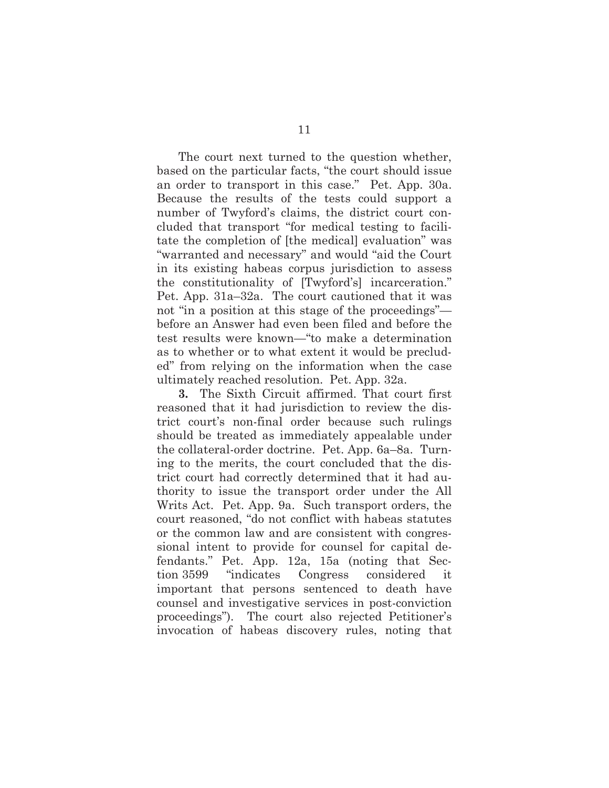The court next turned to the question whether, based on the particular facts, "the court should issue an order to transport in this case." Pet. App. 30a. Because the results of the tests could support a number of Twyford's claims, the district court concluded that transport "for medical testing to facilitate the completion of [the medical] evaluation" was "warranted and necessary" and would "aid the Court in its existing habeas corpus jurisdiction to assess the constitutionality of [Twyford's] incarceration." Pet. App. 31a–32a. The court cautioned that it was not "in a position at this stage of the proceedings" before an Answer had even been filed and before the test results were known—"to make a determination as to whether or to what extent it would be precluded" from relying on the information when the case ultimately reached resolution. Pet. App. 32a.

**3.** The Sixth Circuit affirmed. That court first reasoned that it had jurisdiction to review the district court's non-final order because such rulings should be treated as immediately appealable under the collateral-order doctrine. Pet. App. 6a–8a. Turning to the merits, the court concluded that the district court had correctly determined that it had authority to issue the transport order under the All Writs Act. Pet. App. 9a. Such transport orders, the court reasoned, "do not conflict with habeas statutes or the common law and are consistent with congressional intent to provide for counsel for capital defendants." Pet. App. 12a, 15a (noting that Section 3599 "indicates Congress considered it important that persons sentenced to death have counsel and investigative services in post-conviction proceedings"). The court also rejected Petitioner's invocation of habeas discovery rules, noting that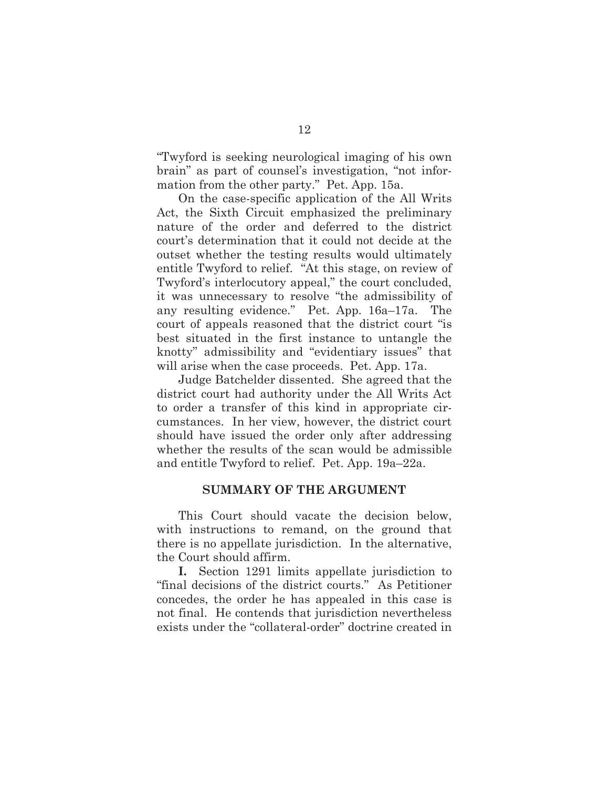"Twyford is seeking neurological imaging of his own brain" as part of counsel's investigation, "not information from the other party." Pet. App. 15a.

On the case-specific application of the All Writs Act, the Sixth Circuit emphasized the preliminary nature of the order and deferred to the district court's determination that it could not decide at the outset whether the testing results would ultimately entitle Twyford to relief. "At this stage, on review of Twyford's interlocutory appeal," the court concluded, it was unnecessary to resolve "the admissibility of any resulting evidence." Pet. App. 16a–17a. The court of appeals reasoned that the district court "is best situated in the first instance to untangle the knotty" admissibility and "evidentiary issues" that will arise when the case proceeds. Pet. App. 17a.

Judge Batchelder dissented. She agreed that the district court had authority under the All Writs Act to order a transfer of this kind in appropriate circumstances. In her view, however, the district court should have issued the order only after addressing whether the results of the scan would be admissible and entitle Twyford to relief. Pet. App. 19a–22a.

#### **SUMMARY OF THE ARGUMENT**

This Court should vacate the decision below, with instructions to remand, on the ground that there is no appellate jurisdiction. In the alternative, the Court should affirm.

**I.** Section 1291 limits appellate jurisdiction to "final decisions of the district courts." As Petitioner concedes, the order he has appealed in this case is not final. He contends that jurisdiction nevertheless exists under the "collateral-order" doctrine created in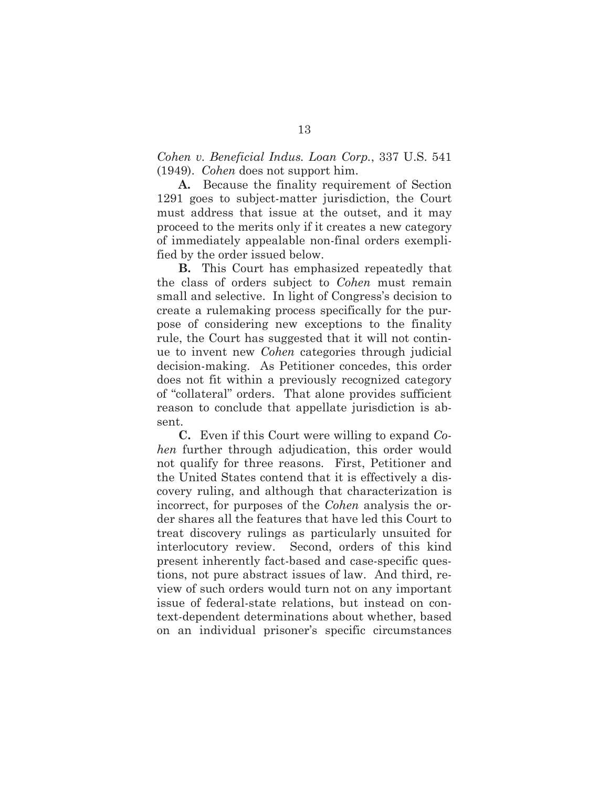*Cohen v. Beneficial Indus. Loan Corp.*, 337 U.S. 541 (1949). *Cohen* does not support him.

**A.** Because the finality requirement of Section 1291 goes to subject-matter jurisdiction, the Court must address that issue at the outset, and it may proceed to the merits only if it creates a new category of immediately appealable non-final orders exemplified by the order issued below.

**B.** This Court has emphasized repeatedly that the class of orders subject to *Cohen* must remain small and selective. In light of Congress's decision to create a rulemaking process specifically for the purpose of considering new exceptions to the finality rule, the Court has suggested that it will not continue to invent new *Cohen* categories through judicial decision-making. As Petitioner concedes, this order does not fit within a previously recognized category of "collateral" orders. That alone provides sufficient reason to conclude that appellate jurisdiction is absent.

**C.** Even if this Court were willing to expand *Cohen* further through adjudication, this order would not qualify for three reasons. First, Petitioner and the United States contend that it is effectively a discovery ruling, and although that characterization is incorrect, for purposes of the *Cohen* analysis the order shares all the features that have led this Court to treat discovery rulings as particularly unsuited for interlocutory review. Second, orders of this kind present inherently fact-based and case-specific questions, not pure abstract issues of law. And third, review of such orders would turn not on any important issue of federal-state relations, but instead on context-dependent determinations about whether, based on an individual prisoner's specific circumstances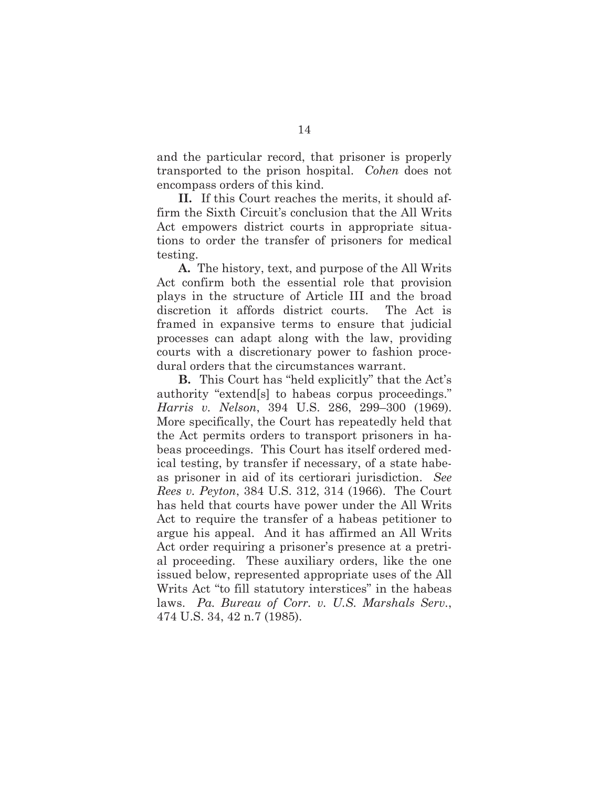and the particular record, that prisoner is properly transported to the prison hospital. *Cohen* does not encompass orders of this kind.

**II.** If this Court reaches the merits, it should affirm the Sixth Circuit's conclusion that the All Writs Act empowers district courts in appropriate situations to order the transfer of prisoners for medical testing.

**A.** The history, text, and purpose of the All Writs Act confirm both the essential role that provision plays in the structure of Article III and the broad discretion it affords district courts. The Act is framed in expansive terms to ensure that judicial processes can adapt along with the law, providing courts with a discretionary power to fashion procedural orders that the circumstances warrant.

**B.** This Court has "held explicitly" that the Act's authority "extend[s] to habeas corpus proceedings." *Harris v. Nelson*, 394 U.S. 286, 299–300 (1969). More specifically, the Court has repeatedly held that the Act permits orders to transport prisoners in habeas proceedings. This Court has itself ordered medical testing, by transfer if necessary, of a state habeas prisoner in aid of its certiorari jurisdiction. *See Rees v. Peyton*, 384 U.S. 312, 314 (1966). The Court has held that courts have power under the All Writs Act to require the transfer of a habeas petitioner to argue his appeal. And it has affirmed an All Writs Act order requiring a prisoner's presence at a pretrial proceeding. These auxiliary orders, like the one issued below, represented appropriate uses of the All Writs Act "to fill statutory interstices" in the habeas laws. *Pa. Bureau of Corr. v. U.S. Marshals Serv.*, 474 U.S. 34, 42 n.7 (1985).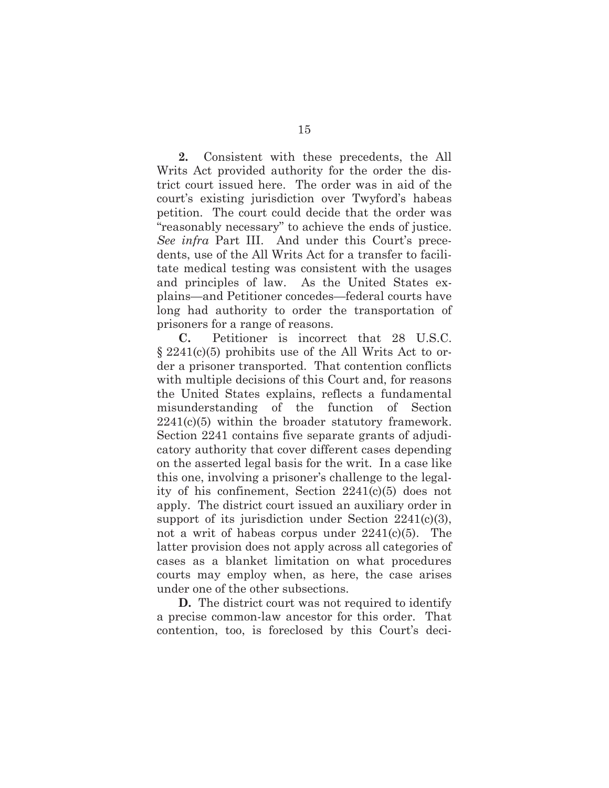**2.** Consistent with these precedents, the All Writs Act provided authority for the order the district court issued here. The order was in aid of the court's existing jurisdiction over Twyford's habeas petition. The court could decide that the order was "reasonably necessary" to achieve the ends of justice. *See infra* Part III. And under this Court's precedents, use of the All Writs Act for a transfer to facilitate medical testing was consistent with the usages and principles of law. As the United States explains—and Petitioner concedes—federal courts have long had authority to order the transportation of prisoners for a range of reasons.

**C.** Petitioner is incorrect that 28 U.S.C. § 2241(c)(5) prohibits use of the All Writs Act to order a prisoner transported. That contention conflicts with multiple decisions of this Court and, for reasons the United States explains, reflects a fundamental misunderstanding of the function of Section  $2241(c)(5)$  within the broader statutory framework. Section 2241 contains five separate grants of adjudicatory authority that cover different cases depending on the asserted legal basis for the writ. In a case like this one, involving a prisoner's challenge to the legality of his confinement, Section 2241(c)(5) does not apply. The district court issued an auxiliary order in support of its jurisdiction under Section 2241(c)(3), not a writ of habeas corpus under  $2241(c)(5)$ . The latter provision does not apply across all categories of cases as a blanket limitation on what procedures courts may employ when, as here, the case arises under one of the other subsections.

**D.** The district court was not required to identify a precise common-law ancestor for this order. That contention, too, is foreclosed by this Court's deci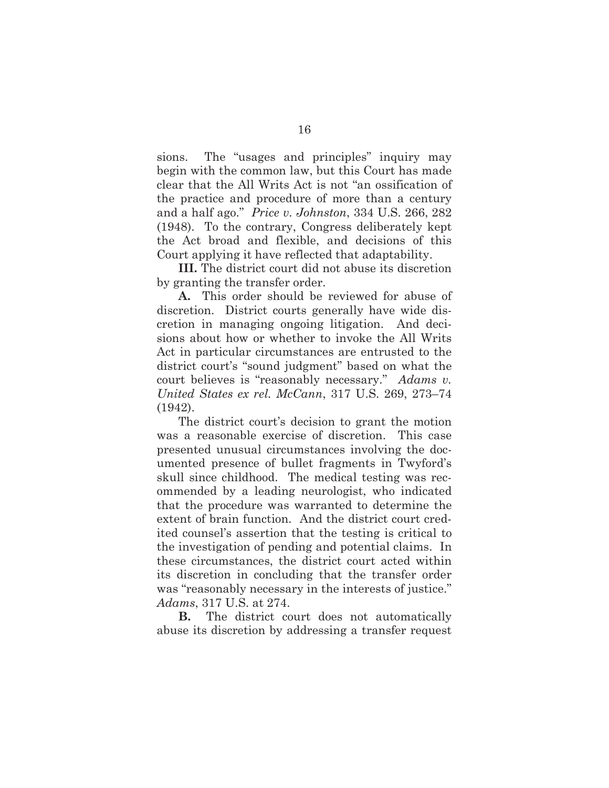sions. The "usages and principles" inquiry may begin with the common law, but this Court has made clear that the All Writs Act is not "an ossification of the practice and procedure of more than a century and a half ago." *Price v. Johnston*, 334 U.S. 266, 282 (1948). To the contrary, Congress deliberately kept the Act broad and flexible, and decisions of this Court applying it have reflected that adaptability.

**III.** The district court did not abuse its discretion by granting the transfer order.

**A.** This order should be reviewed for abuse of discretion. District courts generally have wide discretion in managing ongoing litigation. And decisions about how or whether to invoke the All Writs Act in particular circumstances are entrusted to the district court's "sound judgment" based on what the court believes is "reasonably necessary." *Adams v. United States ex rel. McCann*, 317 U.S. 269, 273–74 (1942).

The district court's decision to grant the motion was a reasonable exercise of discretion. This case presented unusual circumstances involving the documented presence of bullet fragments in Twyford's skull since childhood. The medical testing was recommended by a leading neurologist, who indicated that the procedure was warranted to determine the extent of brain function. And the district court credited counsel's assertion that the testing is critical to the investigation of pending and potential claims. In these circumstances, the district court acted within its discretion in concluding that the transfer order was "reasonably necessary in the interests of justice." *Adams*, 317 U.S. at 274.

**B.** The district court does not automatically abuse its discretion by addressing a transfer request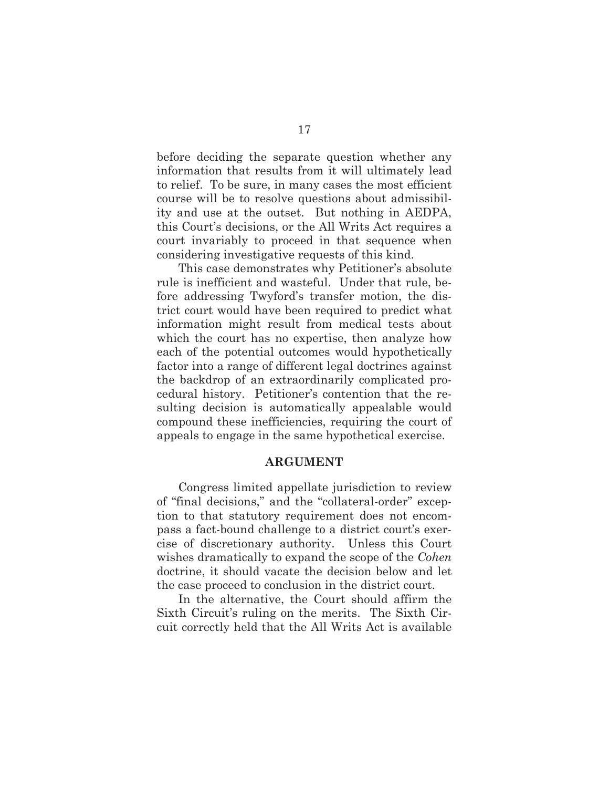before deciding the separate question whether any information that results from it will ultimately lead to relief. To be sure, in many cases the most efficient course will be to resolve questions about admissibility and use at the outset. But nothing in AEDPA, this Court's decisions, or the All Writs Act requires a court invariably to proceed in that sequence when considering investigative requests of this kind.

This case demonstrates why Petitioner's absolute rule is inefficient and wasteful. Under that rule, before addressing Twyford's transfer motion, the district court would have been required to predict what information might result from medical tests about which the court has no expertise, then analyze how each of the potential outcomes would hypothetically factor into a range of different legal doctrines against the backdrop of an extraordinarily complicated procedural history. Petitioner's contention that the resulting decision is automatically appealable would compound these inefficiencies, requiring the court of appeals to engage in the same hypothetical exercise.

#### **ARGUMENT**

Congress limited appellate jurisdiction to review of "final decisions," and the "collateral-order" exception to that statutory requirement does not encompass a fact-bound challenge to a district court's exercise of discretionary authority. Unless this Court wishes dramatically to expand the scope of the *Cohen* doctrine, it should vacate the decision below and let the case proceed to conclusion in the district court.

In the alternative, the Court should affirm the Sixth Circuit's ruling on the merits. The Sixth Circuit correctly held that the All Writs Act is available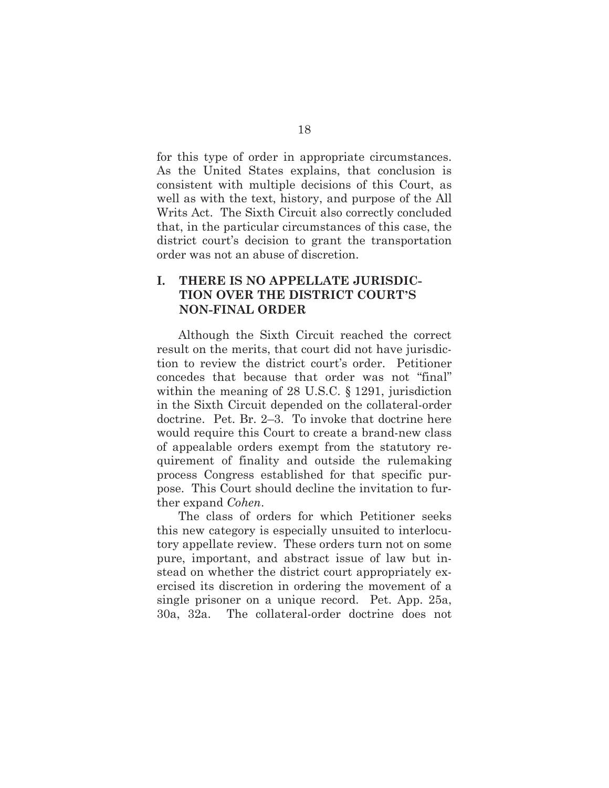for this type of order in appropriate circumstances. As the United States explains, that conclusion is consistent with multiple decisions of this Court, as well as with the text, history, and purpose of the All Writs Act. The Sixth Circuit also correctly concluded that, in the particular circumstances of this case, the district court's decision to grant the transportation order was not an abuse of discretion.

## **I. THERE IS NO APPELLATE JURISDIC-TION OVER THE DISTRICT COURT'S NON-FINAL ORDER**

Although the Sixth Circuit reached the correct result on the merits, that court did not have jurisdiction to review the district court's order. Petitioner concedes that because that order was not "final" within the meaning of 28 U.S.C. § 1291, jurisdiction in the Sixth Circuit depended on the collateral-order doctrine. Pet. Br. 2–3. To invoke that doctrine here would require this Court to create a brand-new class of appealable orders exempt from the statutory requirement of finality and outside the rulemaking process Congress established for that specific purpose. This Court should decline the invitation to further expand *Cohen*.

The class of orders for which Petitioner seeks this new category is especially unsuited to interlocutory appellate review. These orders turn not on some pure, important, and abstract issue of law but instead on whether the district court appropriately exercised its discretion in ordering the movement of a single prisoner on a unique record. Pet. App. 25a, 30a, 32a. The collateral-order doctrine does not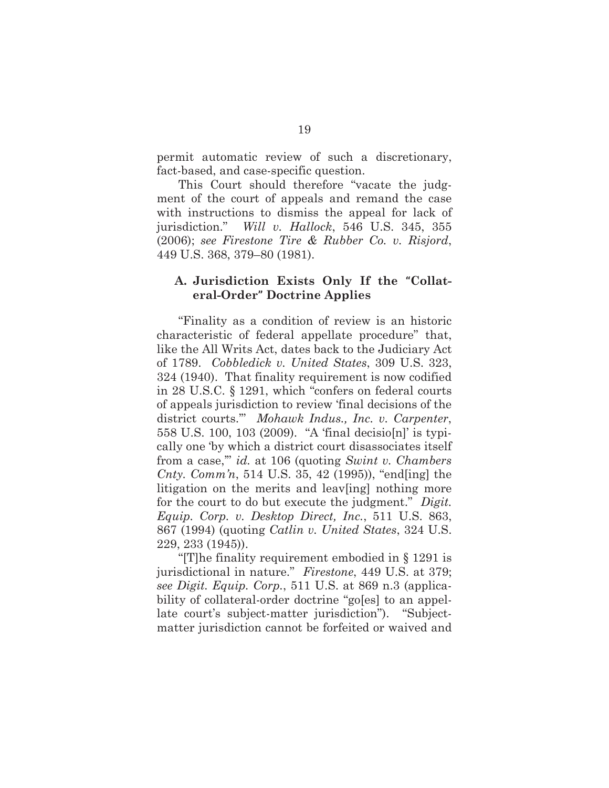permit automatic review of such a discretionary, fact-based, and case-specific question.

This Court should therefore "vacate the judgment of the court of appeals and remand the case with instructions to dismiss the appeal for lack of jurisdiction." *Will v. Hallock*, 546 U.S. 345, 355 (2006); *see Firestone Tire & Rubber Co. v. Risjord*, 449 U.S. 368, 379–80 (1981).

#### **A. Jurisdiction Exists Only If the "Collateral-Order" Doctrine Applies**

"Finality as a condition of review is an historic characteristic of federal appellate procedure" that, like the All Writs Act, dates back to the Judiciary Act of 1789. *Cobbledick v. United States*, 309 U.S. 323, 324 (1940). That finality requirement is now codified in 28 U.S.C. § 1291, which "confers on federal courts of appeals jurisdiction to review 'final decisions of the district courts.'" *Mohawk Indus., Inc. v. Carpenter*, 558 U.S. 100, 103 (2009). "A 'final decisio[n]' is typically one 'by which a district court disassociates itself from a case,'" *id.* at 106 (quoting *Swint v. Chambers Cnty. Comm'n*, 514 U.S. 35, 42 (1995)), "end[ing] the litigation on the merits and leav[ing] nothing more for the court to do but execute the judgment." *Digit. Equip. Corp. v. Desktop Direct, Inc.*, 511 U.S. 863, 867 (1994) (quoting *Catlin v. United States*, 324 U.S. 229, 233 (1945)).

"[T]he finality requirement embodied in § 1291 is jurisdictional in nature." *Firestone*, 449 U.S. at 379; *see Digit. Equip. Corp.*, 511 U.S. at 869 n.3 (applicability of collateral-order doctrine "go[es] to an appellate court's subject-matter jurisdiction"). "Subjectmatter jurisdiction cannot be forfeited or waived and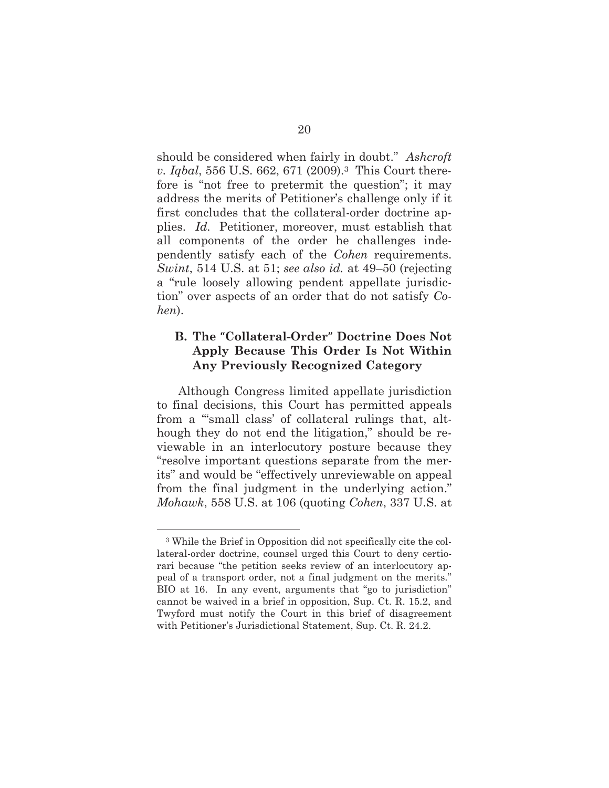should be considered when fairly in doubt." *Ashcroft v. Iqbal*, 556 U.S. 662, 671 (2009).<sup>3</sup> This Court therefore is "not free to pretermit the question"; it may address the merits of Petitioner's challenge only if it first concludes that the collateral-order doctrine applies. *Id.* Petitioner, moreover, must establish that all components of the order he challenges independently satisfy each of the *Cohen* requirements. *Swint*, 514 U.S. at 51; *see also id.* at 49–50 (rejecting a "rule loosely allowing pendent appellate jurisdiction" over aspects of an order that do not satisfy *Cohen*).

## **B. The "Collateral-Order" Doctrine Does Not Apply Because This Order Is Not Within Any Previously Recognized Category**

Although Congress limited appellate jurisdiction to final decisions, this Court has permitted appeals from a "'small class' of collateral rulings that, although they do not end the litigation," should be reviewable in an interlocutory posture because they "resolve important questions separate from the merits" and would be "effectively unreviewable on appeal from the final judgment in the underlying action." *Mohawk*, 558 U.S. at 106 (quoting *Cohen*, 337 U.S. at

<sup>3</sup> While the Brief in Opposition did not specifically cite the collateral-order doctrine, counsel urged this Court to deny certiorari because "the petition seeks review of an interlocutory appeal of a transport order, not a final judgment on the merits." BIO at 16. In any event, arguments that "go to jurisdiction" cannot be waived in a brief in opposition, Sup. Ct. R. 15.2, and Twyford must notify the Court in this brief of disagreement with Petitioner's Jurisdictional Statement, Sup. Ct. R. 24.2.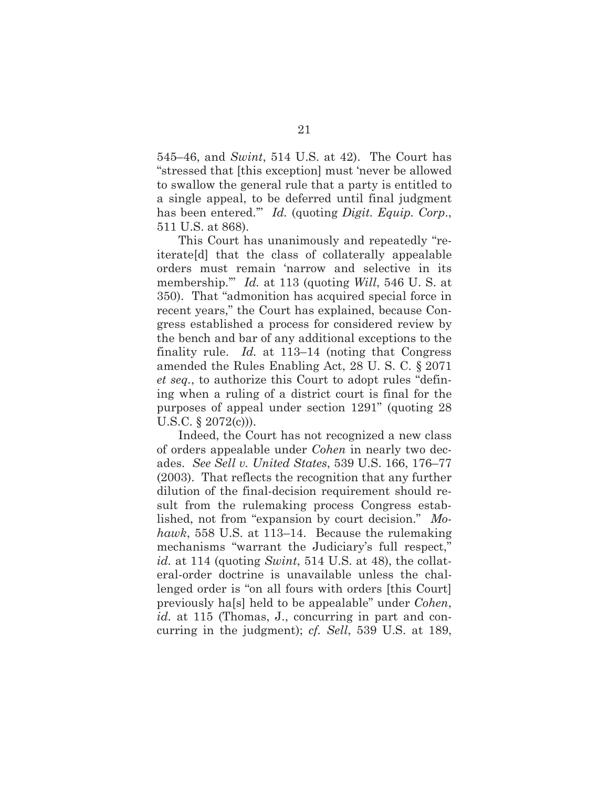545–46, and *Swint*, 514 U.S. at 42). The Court has "stressed that [this exception] must 'never be allowed to swallow the general rule that a party is entitled to a single appeal, to be deferred until final judgment has been entered.'" *Id.* (quoting *Digit. Equip. Corp*., 511 U.S. at 868).

This Court has unanimously and repeatedly "reiterate[d] that the class of collaterally appealable orders must remain 'narrow and selective in its membership.'" *Id.* at 113 (quoting *Will*, 546 U. S. at 350). That "admonition has acquired special force in recent years," the Court has explained, because Congress established a process for considered review by the bench and bar of any additional exceptions to the finality rule. *Id.* at 113–14 (noting that Congress amended the Rules Enabling Act, 28 U. S. C. § 2071 *et seq.*, to authorize this Court to adopt rules "defining when a ruling of a district court is final for the purposes of appeal under section 1291" (quoting 28 U.S.C.  $\S 2072(c)$ ).

Indeed, the Court has not recognized a new class of orders appealable under *Cohen* in nearly two decades. *See Sell v. United States*, 539 U.S. 166, 176–77 (2003). That reflects the recognition that any further dilution of the final-decision requirement should result from the rulemaking process Congress established, not from "expansion by court decision." *Mohawk*, 558 U.S. at 113–14. Because the rulemaking mechanisms "warrant the Judiciary's full respect," *id.* at 114 (quoting *Swint*, 514 U.S. at 48), the collateral-order doctrine is unavailable unless the challenged order is "on all fours with orders [this Court] previously ha[s] held to be appealable" under *Cohen*, *id.* at 115 (Thomas, J., concurring in part and concurring in the judgment); *cf. Sell*, 539 U.S. at 189,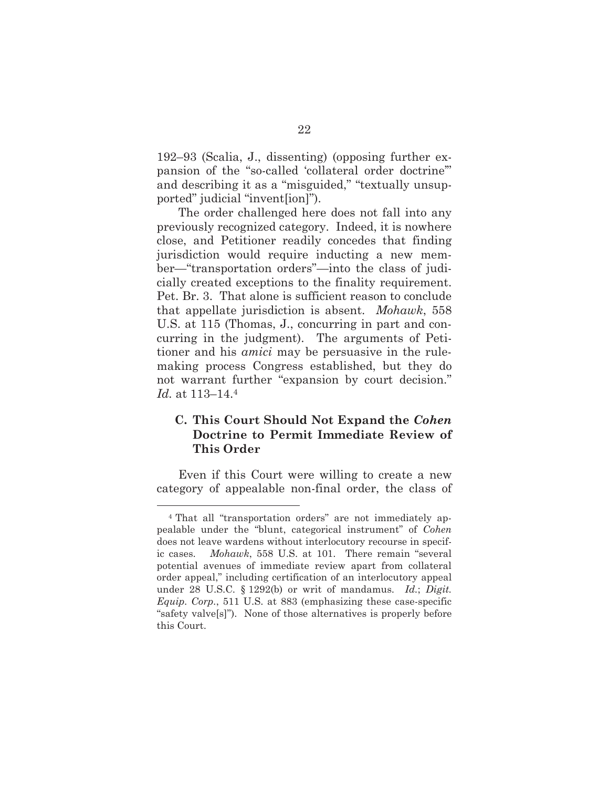192–93 (Scalia, J., dissenting) (opposing further expansion of the "so-called 'collateral order doctrine'" and describing it as a "misguided," "textually unsupported" judicial "invent[ion]").

The order challenged here does not fall into any previously recognized category. Indeed, it is nowhere close, and Petitioner readily concedes that finding jurisdiction would require inducting a new member—"transportation orders"—into the class of judicially created exceptions to the finality requirement. Pet. Br. 3. That alone is sufficient reason to conclude that appellate jurisdiction is absent. *Mohawk*, 558 U.S. at 115 (Thomas, J., concurring in part and concurring in the judgment). The arguments of Petitioner and his *amici* may be persuasive in the rulemaking process Congress established, but they do not warrant further "expansion by court decision." *Id.* at 113–14.4

## **C. This Court Should Not Expand the** *Cohen* **Doctrine to Permit Immediate Review of This Order**

Even if this Court were willing to create a new category of appealable non-final order, the class of

<sup>4</sup> That all "transportation orders" are not immediately appealable under the "blunt, categorical instrument" of *Cohen* does not leave wardens without interlocutory recourse in specific cases. *Mohawk*, 558 U.S. at 101. There remain "several potential avenues of immediate review apart from collateral order appeal," including certification of an interlocutory appeal under 28 U.S.C. § 1292(b) or writ of mandamus. *Id.*; *Digit. Equip. Corp.*, 511 U.S. at 883 (emphasizing these case-specific "safety valve[s]"). None of those alternatives is properly before this Court.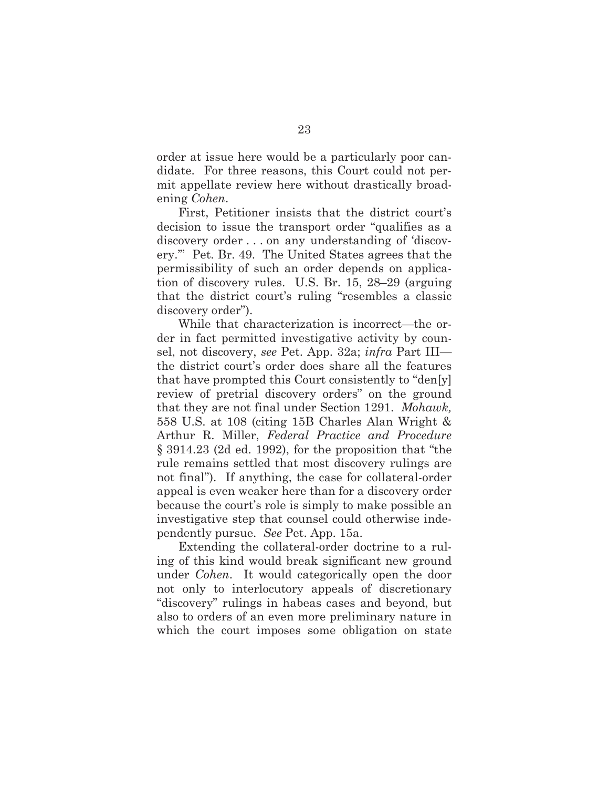order at issue here would be a particularly poor candidate. For three reasons, this Court could not permit appellate review here without drastically broadening *Cohen*.

First, Petitioner insists that the district court's decision to issue the transport order "qualifies as a discovery order . . . on any understanding of 'discovery.'" Pet. Br. 49. The United States agrees that the permissibility of such an order depends on application of discovery rules. U.S. Br. 15, 28–29 (arguing that the district court's ruling "resembles a classic discovery order").

While that characterization is incorrect—the order in fact permitted investigative activity by counsel, not discovery, *see* Pet. App. 32a; *infra* Part III the district court's order does share all the features that have prompted this Court consistently to "den[y] review of pretrial discovery orders" on the ground that they are not final under Section 1291. *Mohawk,* 558 U.S. at 108 (citing 15B Charles Alan Wright & Arthur R. Miller, *Federal Practice and Procedure* § 3914.23 (2d ed. 1992), for the proposition that "the rule remains settled that most discovery rulings are not final"). If anything, the case for collateral-order appeal is even weaker here than for a discovery order because the court's role is simply to make possible an investigative step that counsel could otherwise independently pursue. *See* Pet. App. 15a.

Extending the collateral-order doctrine to a ruling of this kind would break significant new ground under *Cohen*. It would categorically open the door not only to interlocutory appeals of discretionary "discovery" rulings in habeas cases and beyond, but also to orders of an even more preliminary nature in which the court imposes some obligation on state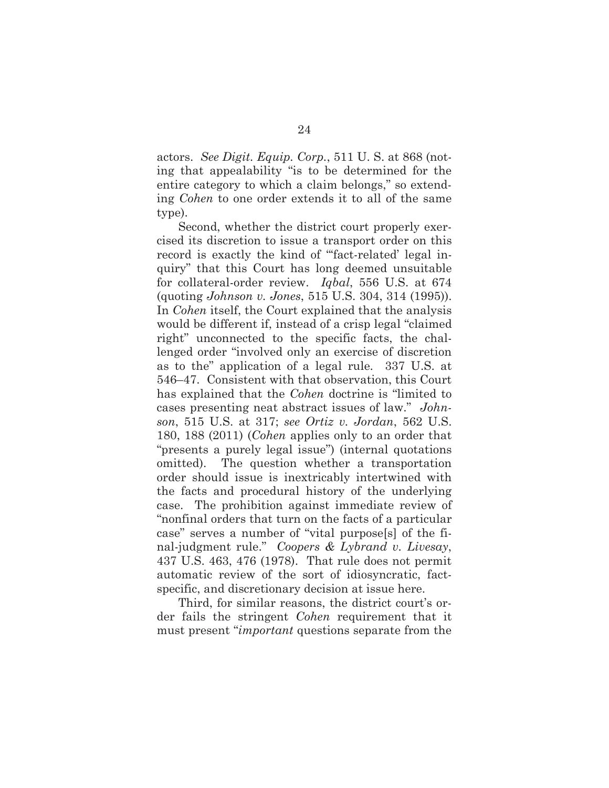actors. *See Digit. Equip. Corp.*, 511 U. S. at 868 (noting that appealability "is to be determined for the entire category to which a claim belongs," so extending *Cohen* to one order extends it to all of the same type).

Second, whether the district court properly exercised its discretion to issue a transport order on this record is exactly the kind of "fact-related' legal inquiry" that this Court has long deemed unsuitable for collateral-order review. *Iqbal*, 556 U.S. at 674 (quoting *Johnson v. Jones*, 515 U.S. 304, 314 (1995)). In *Cohen* itself, the Court explained that the analysis would be different if, instead of a crisp legal "claimed right" unconnected to the specific facts, the challenged order "involved only an exercise of discretion as to the" application of a legal rule. 337 U.S. at 546–47. Consistent with that observation, this Court has explained that the *Cohen* doctrine is "limited to cases presenting neat abstract issues of law." *Johnson*, 515 U.S. at 317; *see Ortiz v. Jordan*, 562 U.S. 180, 188 (2011) (*Cohen* applies only to an order that "presents a purely legal issue") (internal quotations omitted). The question whether a transportation order should issue is inextricably intertwined with the facts and procedural history of the underlying case. The prohibition against immediate review of "nonfinal orders that turn on the facts of a particular case" serves a number of "vital purpose[s] of the final-judgment rule." *Coopers & Lybrand v. Livesay*, 437 U.S. 463, 476 (1978). That rule does not permit automatic review of the sort of idiosyncratic, factspecific, and discretionary decision at issue here.

Third, for similar reasons, the district court's order fails the stringent *Cohen* requirement that it must present "*important* questions separate from the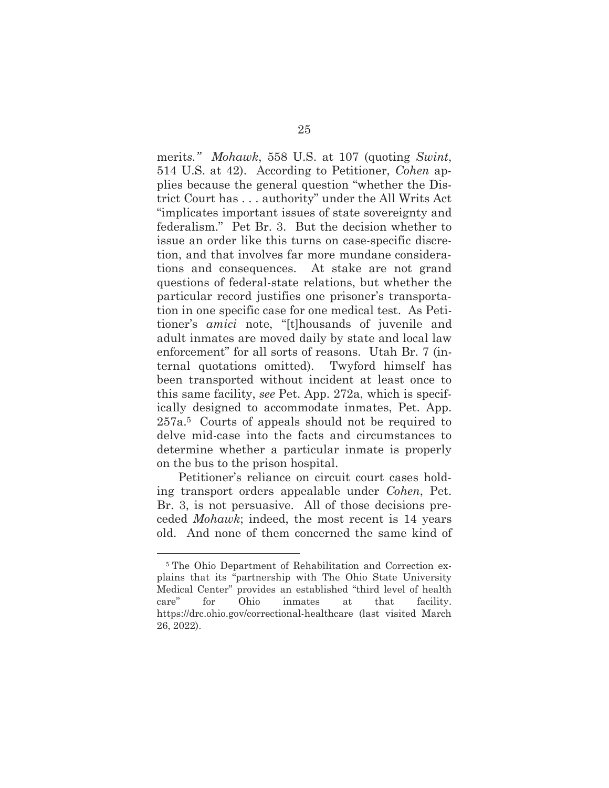merit*s." Mohawk*, 558 U.S. at 107 (quoting *Swint*, 514 U.S. at 42). According to Petitioner, *Cohen* applies because the general question "whether the District Court has . . . authority" under the All Writs Act "implicates important issues of state sovereignty and federalism." Pet Br. 3. But the decision whether to issue an order like this turns on case-specific discretion, and that involves far more mundane considerations and consequences. At stake are not grand questions of federal-state relations, but whether the particular record justifies one prisoner's transportation in one specific case for one medical test. As Petitioner's *amici* note, "[t]housands of juvenile and adult inmates are moved daily by state and local law enforcement" for all sorts of reasons. Utah Br. 7 (internal quotations omitted). Twyford himself has been transported without incident at least once to this same facility, *see* Pet. App. 272a, which is specifically designed to accommodate inmates, Pet. App. 257a.5 Courts of appeals should not be required to delve mid-case into the facts and circumstances to determine whether a particular inmate is properly on the bus to the prison hospital.

Petitioner's reliance on circuit court cases holding transport orders appealable under *Cohen*, Pet. Br. 3, is not persuasive. All of those decisions preceded *Mohawk*; indeed, the most recent is 14 years old. And none of them concerned the same kind of

<sup>5</sup> The Ohio Department of Rehabilitation and Correction explains that its "partnership with The Ohio State University Medical Center" provides an established "third level of health care" for Ohio inmates at that facility. https://drc.ohio.gov/correctional-healthcare (last visited March 26, 2022).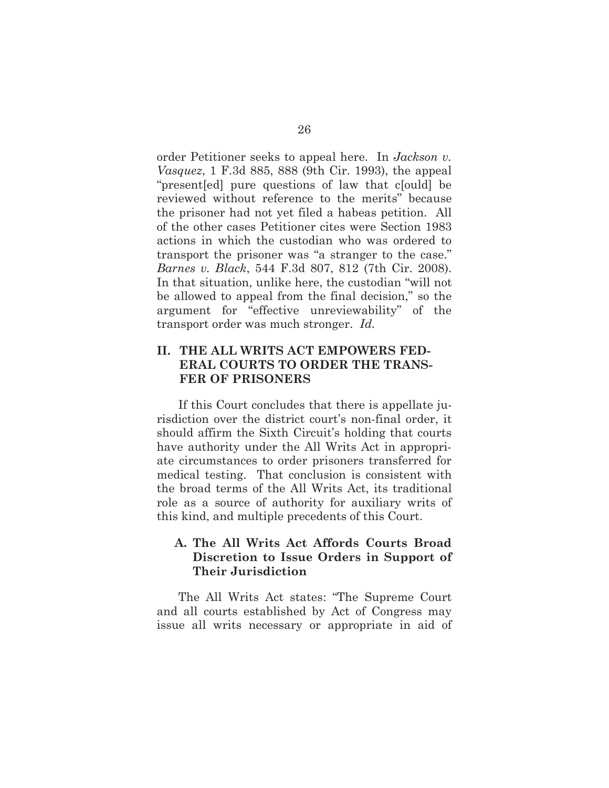order Petitioner seeks to appeal here. In *Jackson v. Vasquez*, 1 F.3d 885, 888 (9th Cir. 1993), the appeal "present[ed] pure questions of law that c[ould] be reviewed without reference to the merits" because the prisoner had not yet filed a habeas petition. All of the other cases Petitioner cites were Section 1983 actions in which the custodian who was ordered to transport the prisoner was "a stranger to the case." *Barnes v. Black*, 544 F.3d 807, 812 (7th Cir. 2008). In that situation, unlike here, the custodian "will not be allowed to appeal from the final decision," so the argument for "effective unreviewability" of the transport order was much stronger. *Id.*

## **II. THE ALL WRITS ACT EMPOWERS FED-ERAL COURTS TO ORDER THE TRANS-FER OF PRISONERS**

If this Court concludes that there is appellate jurisdiction over the district court's non-final order, it should affirm the Sixth Circuit's holding that courts have authority under the All Writs Act in appropriate circumstances to order prisoners transferred for medical testing. That conclusion is consistent with the broad terms of the All Writs Act, its traditional role as a source of authority for auxiliary writs of this kind, and multiple precedents of this Court.

## **A. The All Writs Act Affords Courts Broad Discretion to Issue Orders in Support of Their Jurisdiction**

The All Writs Act states: "The Supreme Court and all courts established by Act of Congress may issue all writs necessary or appropriate in aid of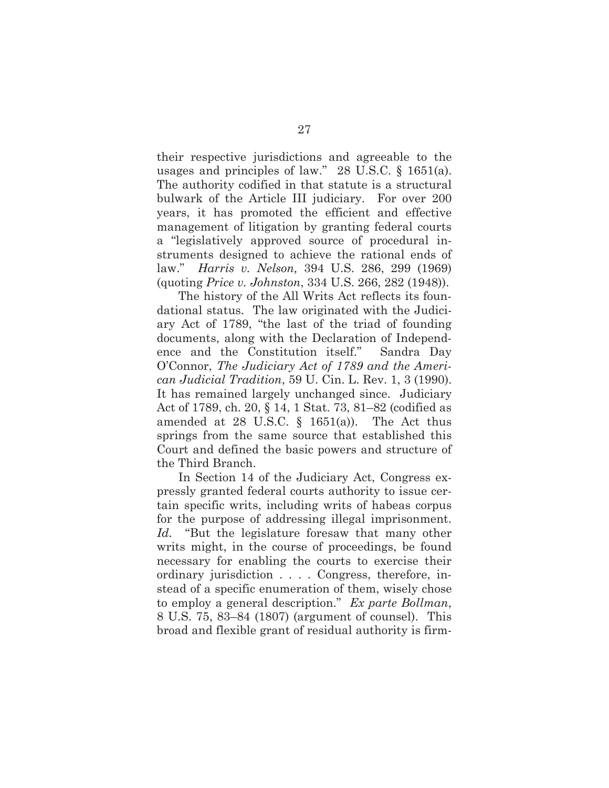their respective jurisdictions and agreeable to the usages and principles of law." 28 U.S.C. § 1651(a). The authority codified in that statute is a structural bulwark of the Article III judiciary. For over 200 years, it has promoted the efficient and effective management of litigation by granting federal courts a "legislatively approved source of procedural instruments designed to achieve the rational ends of law." *Harris v. Nelson,* 394 U.S. 286, 299 (1969) (quoting *Price v. Johnston*, 334 U.S. 266, 282 (1948)).

The history of the All Writs Act reflects its foundational status. The law originated with the Judiciary Act of 1789, "the last of the triad of founding documents, along with the Declaration of Independence and the Constitution itself." Sandra Day O'Connor, *The Judiciary Act of 1789 and the American Judicial Tradition*, 59 U. Cin. L. Rev. 1, 3 (1990). It has remained largely unchanged since. Judiciary Act of 1789, ch. 20, § 14, 1 Stat. 73, 81–82 (codified as amended at 28 U.S.C.  $\S$  1651(a)). The Act thus springs from the same source that established this Court and defined the basic powers and structure of the Third Branch.

In Section 14 of the Judiciary Act, Congress expressly granted federal courts authority to issue certain specific writs, including writs of habeas corpus for the purpose of addressing illegal imprisonment. *Id.* "But the legislature foresaw that many other writs might, in the course of proceedings, be found necessary for enabling the courts to exercise their ordinary jurisdiction . . . . Congress, therefore, instead of a specific enumeration of them, wisely chose to employ a general description." *Ex parte Bollman*, 8 U.S. 75, 83–84 (1807) (argument of counsel). This broad and flexible grant of residual authority is firm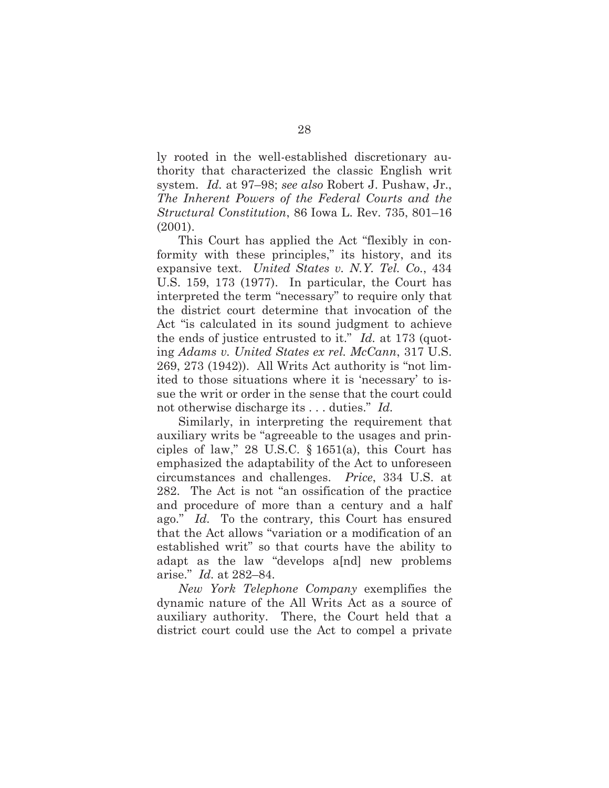ly rooted in the well-established discretionary authority that characterized the classic English writ system. *Id.* at 97–98; *see also* Robert J. Pushaw, Jr., *The Inherent Powers of the Federal Courts and the Structural Constitution*, 86 Iowa L. Rev. 735, 801–16 (2001).

This Court has applied the Act "flexibly in conformity with these principles," its history, and its expansive text. *United States v. N.Y. Tel. Co.*, 434 U.S. 159, 173 (1977). In particular, the Court has interpreted the term "necessary" to require only that the district court determine that invocation of the Act "is calculated in its sound judgment to achieve the ends of justice entrusted to it." *Id.* at 173 (quoting *Adams v. United States ex rel. McCann*, 317 U.S. 269, 273 (1942)). All Writs Act authority is "not limited to those situations where it is 'necessary' to issue the writ or order in the sense that the court could not otherwise discharge its . . . duties." *Id.*

Similarly, in interpreting the requirement that auxiliary writs be "agreeable to the usages and principles of law," 28 U.S.C.  $\S$  1651(a), this Court has emphasized the adaptability of the Act to unforeseen circumstances and challenges. *Price*, 334 U.S. at 282. The Act is not "an ossification of the practice and procedure of more than a century and a half ago." *Id.* To the contrary*,* this Court has ensured that the Act allows "variation or a modification of an established writ" so that courts have the ability to adapt as the law "develops a[nd] new problems arise." *Id.* at 282–84.

*New York Telephone Company* exemplifies the dynamic nature of the All Writs Act as a source of auxiliary authority. There, the Court held that a district court could use the Act to compel a private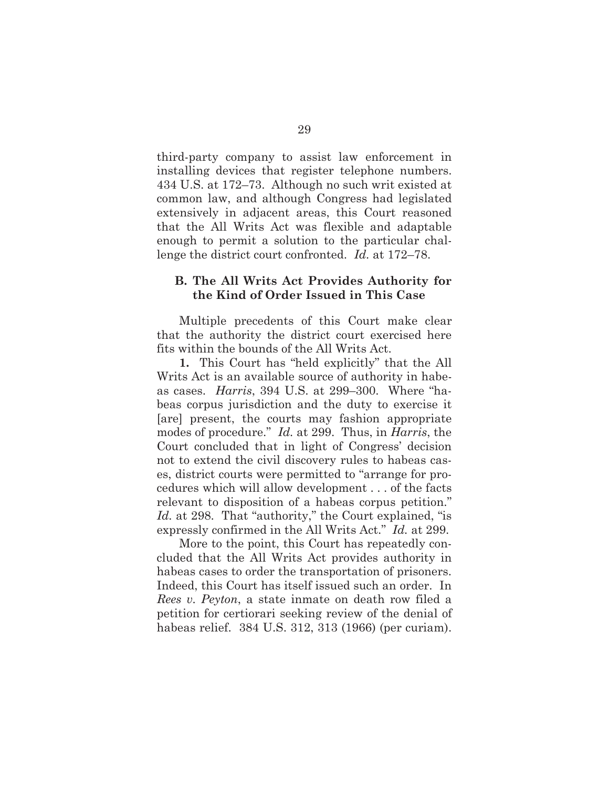third-party company to assist law enforcement in installing devices that register telephone numbers. 434 U.S. at 172–73. Although no such writ existed at common law, and although Congress had legislated extensively in adjacent areas, this Court reasoned that the All Writs Act was flexible and adaptable enough to permit a solution to the particular challenge the district court confronted. *Id.* at 172–78.

## **B. The All Writs Act Provides Authority for the Kind of Order Issued in This Case**

Multiple precedents of this Court make clear that the authority the district court exercised here fits within the bounds of the All Writs Act.

**1.** This Court has "held explicitly" that the All Writs Act is an available source of authority in habeas cases. *Harris*, 394 U.S. at 299–300. Where "habeas corpus jurisdiction and the duty to exercise it [are] present, the courts may fashion appropriate modes of procedure." *Id.* at 299. Thus, in *Harris*, the Court concluded that in light of Congress' decision not to extend the civil discovery rules to habeas cases, district courts were permitted to "arrange for procedures which will allow development . . . of the facts relevant to disposition of a habeas corpus petition." *Id.* at 298. That "authority," the Court explained, "is expressly confirmed in the All Writs Act." *Id.* at 299.

More to the point, this Court has repeatedly concluded that the All Writs Act provides authority in habeas cases to order the transportation of prisoners. Indeed, this Court has itself issued such an order. In *Rees v. Peyton*, a state inmate on death row filed a petition for certiorari seeking review of the denial of habeas relief. 384 U.S. 312, 313 (1966) (per curiam).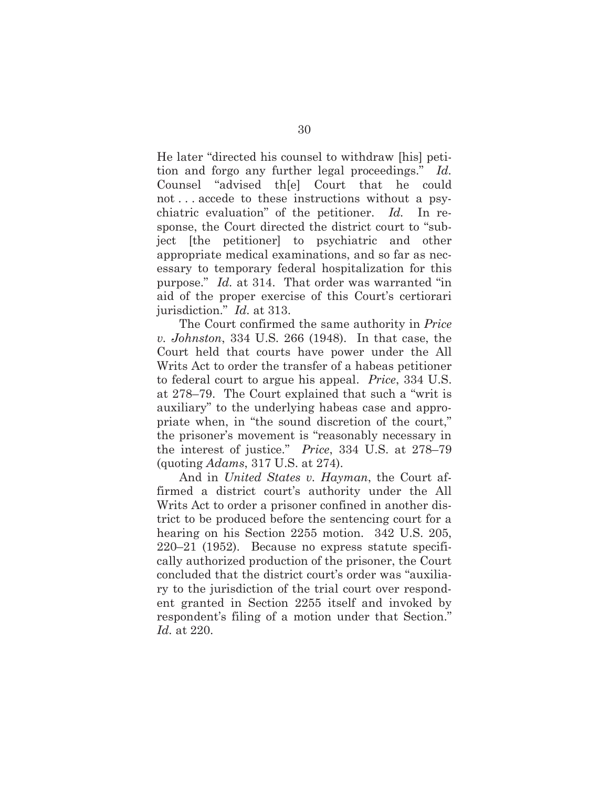He later "directed his counsel to withdraw [his] petition and forgo any further legal proceedings." *Id.* Counsel "advised th[e] Court that he could not . . . accede to these instructions without a psychiatric evaluation" of the petitioner. *Id.* In response, the Court directed the district court to "subject [the petitioner] to psychiatric and other appropriate medical examinations, and so far as necessary to temporary federal hospitalization for this purpose." *Id.* at 314. That order was warranted "in aid of the proper exercise of this Court's certiorari jurisdiction." *Id.* at 313.

The Court confirmed the same authority in *Price v. Johnston*, 334 U.S. 266 (1948). In that case, the Court held that courts have power under the All Writs Act to order the transfer of a habeas petitioner to federal court to argue his appeal. *Price*, 334 U.S. at 278–79. The Court explained that such a "writ is auxiliary" to the underlying habeas case and appropriate when, in "the sound discretion of the court," the prisoner's movement is "reasonably necessary in the interest of justice." *Price*, 334 U.S. at 278–79 (quoting *Adams*, 317 U.S. at 274).

And in *United States v. Hayman*, the Court affirmed a district court's authority under the All Writs Act to order a prisoner confined in another district to be produced before the sentencing court for a hearing on his Section 2255 motion. 342 U.S. 205, 220–21 (1952). Because no express statute specifically authorized production of the prisoner, the Court concluded that the district court's order was "auxiliary to the jurisdiction of the trial court over respondent granted in Section 2255 itself and invoked by respondent's filing of a motion under that Section." *Id.* at 220.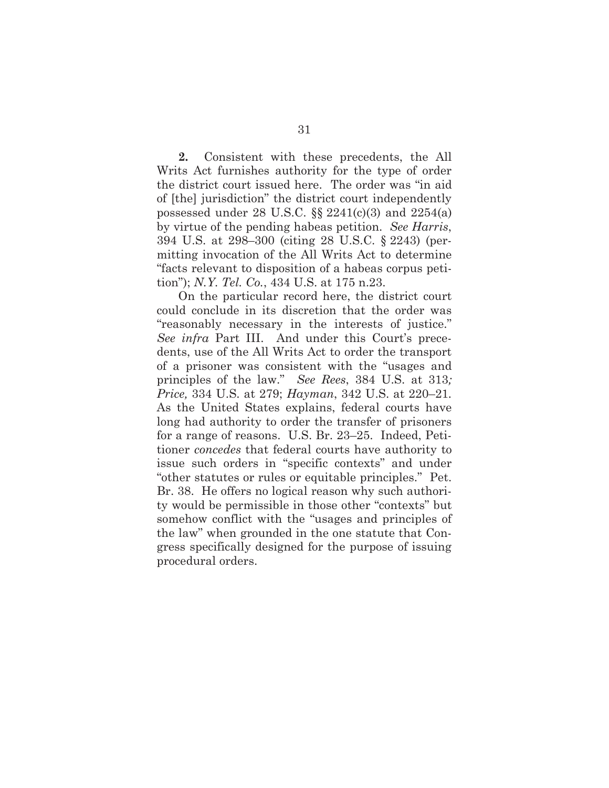**2.** Consistent with these precedents, the All Writs Act furnishes authority for the type of order the district court issued here. The order was "in aid of [the] jurisdiction" the district court independently possessed under 28 U.S.C.  $\S$  2241(c)(3) and 2254(a) by virtue of the pending habeas petition. *See Harris*, 394 U.S. at 298–300 (citing 28 U.S.C. § 2243) (permitting invocation of the All Writs Act to determine "facts relevant to disposition of a habeas corpus petition"); *N.Y. Tel. Co.*, 434 U.S. at 175 n.23.

On the particular record here, the district court could conclude in its discretion that the order was "reasonably necessary in the interests of justice." *See infra* Part III. And under this Court's precedents, use of the All Writs Act to order the transport of a prisoner was consistent with the "usages and principles of the law." *See Rees*, 384 U.S. at 313*; Price,* 334 U.S. at 279; *Hayman*, 342 U.S. at 220–21*.* As the United States explains, federal courts have long had authority to order the transfer of prisoners for a range of reasons. U.S. Br. 23–25. Indeed, Petitioner *concedes* that federal courts have authority to issue such orders in "specific contexts" and under "other statutes or rules or equitable principles." Pet. Br. 38. He offers no logical reason why such authority would be permissible in those other "contexts" but somehow conflict with the "usages and principles of the law" when grounded in the one statute that Congress specifically designed for the purpose of issuing procedural orders.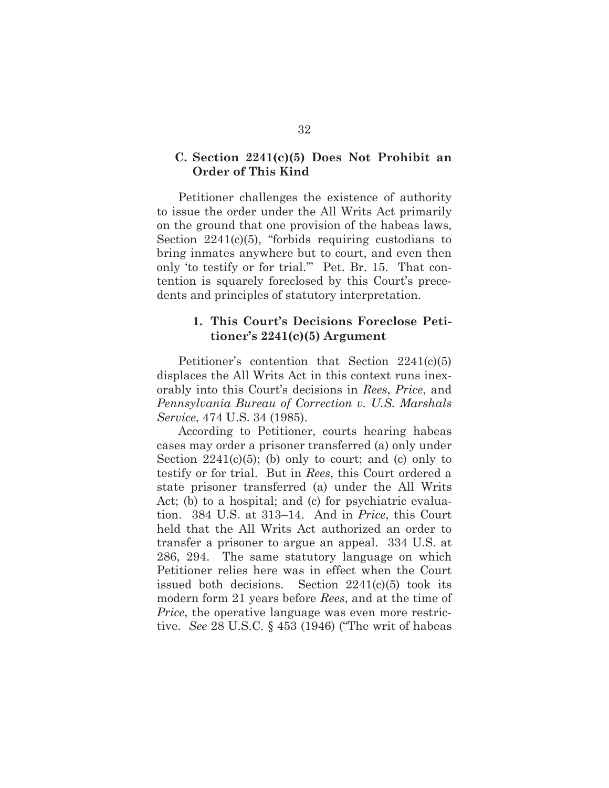### **C. Section 2241(c)(5) Does Not Prohibit an Order of This Kind**

Petitioner challenges the existence of authority to issue the order under the All Writs Act primarily on the ground that one provision of the habeas laws, Section 2241(c)(5), "forbids requiring custodians to bring inmates anywhere but to court, and even then only 'to testify or for trial.'" Pet. Br. 15. That contention is squarely foreclosed by this Court's precedents and principles of statutory interpretation.

### **1. This Court's Decisions Foreclose Petitioner's 2241(c)(5) Argument**

Petitioner's contention that Section 2241(c)(5) displaces the All Writs Act in this context runs inexorably into this Court's decisions in *Rees*, *Price*, and *Pennsylvania Bureau of Correction v. U.S. Marshals Service*, 474 U.S. 34 (1985).

According to Petitioner, courts hearing habeas cases may order a prisoner transferred (a) only under Section  $2241(c)(5)$ ; (b) only to court; and (c) only to testify or for trial. But in *Rees*, this Court ordered a state prisoner transferred (a) under the All Writs Act; (b) to a hospital; and (c) for psychiatric evaluation. 384 U.S. at 313–14. And in *Price*, this Court held that the All Writs Act authorized an order to transfer a prisoner to argue an appeal. 334 U.S. at 286, 294. The same statutory language on which Petitioner relies here was in effect when the Court issued both decisions. Section 2241(c)(5) took its modern form 21 years before *Rees*, and at the time of *Price*, the operative language was even more restrictive. *See* 28 U.S.C. § 453 (1946) ("The writ of habeas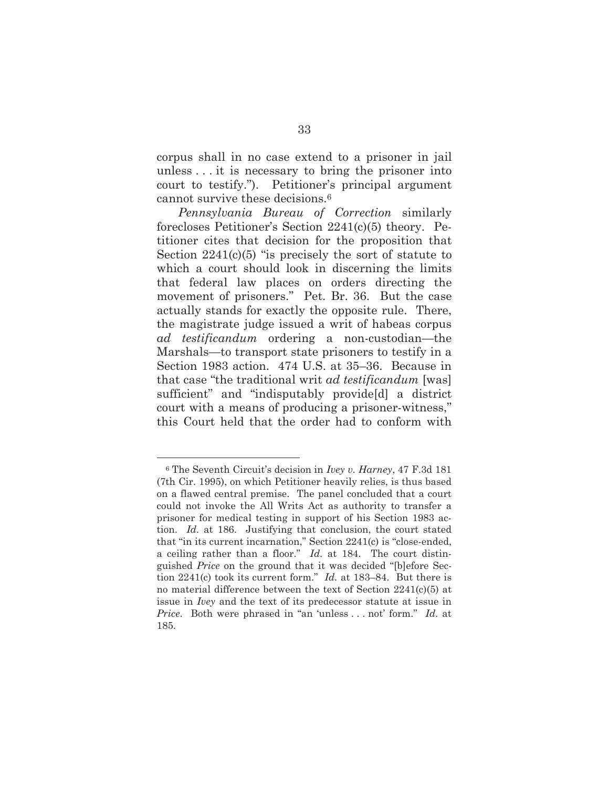corpus shall in no case extend to a prisoner in jail unless . . . it is necessary to bring the prisoner into court to testify."). Petitioner's principal argument cannot survive these decisions.6

*Pennsylvania Bureau of Correction* similarly forecloses Petitioner's Section 2241(c)(5) theory. Petitioner cites that decision for the proposition that Section  $2241(c)(5)$  "is precisely the sort of statute to which a court should look in discerning the limits that federal law places on orders directing the movement of prisoners." Pet. Br. 36. But the case actually stands for exactly the opposite rule. There, the magistrate judge issued a writ of habeas corpus *ad testificandum* ordering a non-custodian—the Marshals—to transport state prisoners to testify in a Section 1983 action. 474 U.S. at 35–36. Because in that case "the traditional writ *ad testificandum* [was] sufficient" and "indisputably provide[d] a district court with a means of producing a prisoner-witness," this Court held that the order had to conform with

<sup>6</sup> The Seventh Circuit's decision in *Ivey v. Harney*, 47 F.3d 181 (7th Cir. 1995), on which Petitioner heavily relies, is thus based on a flawed central premise. The panel concluded that a court could not invoke the All Writs Act as authority to transfer a prisoner for medical testing in support of his Section 1983 action. *Id.* at 186. Justifying that conclusion, the court stated that "in its current incarnation," Section 2241(c) is "close-ended, a ceiling rather than a floor." *Id.* at 184. The court distinguished *Price* on the ground that it was decided "[b]efore Section 2241(c) took its current form." *Id.* at 183–84. But there is no material difference between the text of Section 2241(c)(5) at issue in *Ivey* and the text of its predecessor statute at issue in *Price*. Both were phrased in "an 'unless . . . not' form." *Id.* at 185.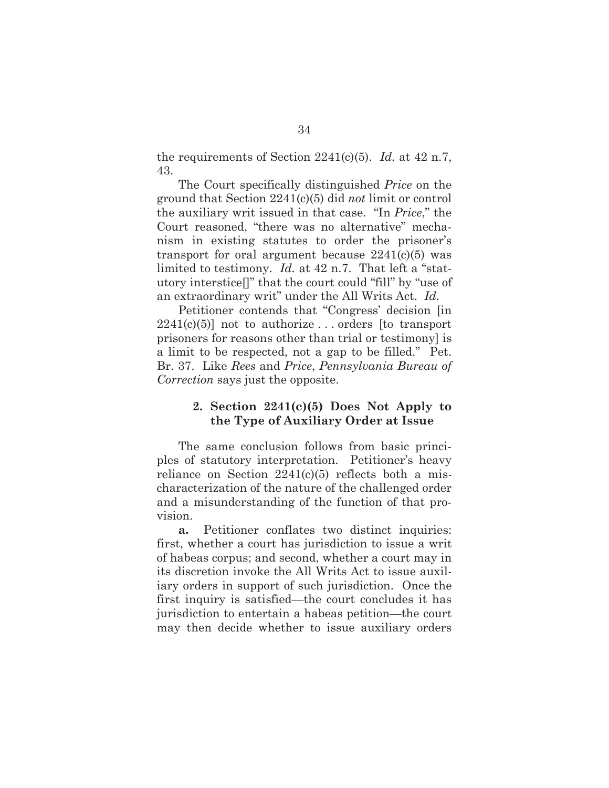the requirements of Section 2241(c)(5). *Id.* at 42 n.7, 43.

The Court specifically distinguished *Price* on the ground that Section 2241(c)(5) did *not* limit or control the auxiliary writ issued in that case. "In *Price*," the Court reasoned, "there was no alternative" mechanism in existing statutes to order the prisoner's transport for oral argument because  $2241(c)(5)$  was limited to testimony. *Id.* at 42 n.7. That left a "statutory interstice[]" that the court could "fill" by "use of an extraordinary writ" under the All Writs Act. *Id.*

Petitioner contends that "Congress' decision [in  $2241(c)(5)$ ] not to authorize ... orders [to transport] prisoners for reasons other than trial or testimony] is a limit to be respected, not a gap to be filled." Pet. Br. 37. Like *Rees* and *Price*, *Pennsylvania Bureau of Correction* says just the opposite.

### **2. Section 2241(c)(5) Does Not Apply to the Type of Auxiliary Order at Issue**

The same conclusion follows from basic principles of statutory interpretation. Petitioner's heavy reliance on Section  $2241(c)(5)$  reflects both a mischaracterization of the nature of the challenged order and a misunderstanding of the function of that provision.

**a.** Petitioner conflates two distinct inquiries: first, whether a court has jurisdiction to issue a writ of habeas corpus; and second, whether a court may in its discretion invoke the All Writs Act to issue auxiliary orders in support of such jurisdiction. Once the first inquiry is satisfied—the court concludes it has jurisdiction to entertain a habeas petition—the court may then decide whether to issue auxiliary orders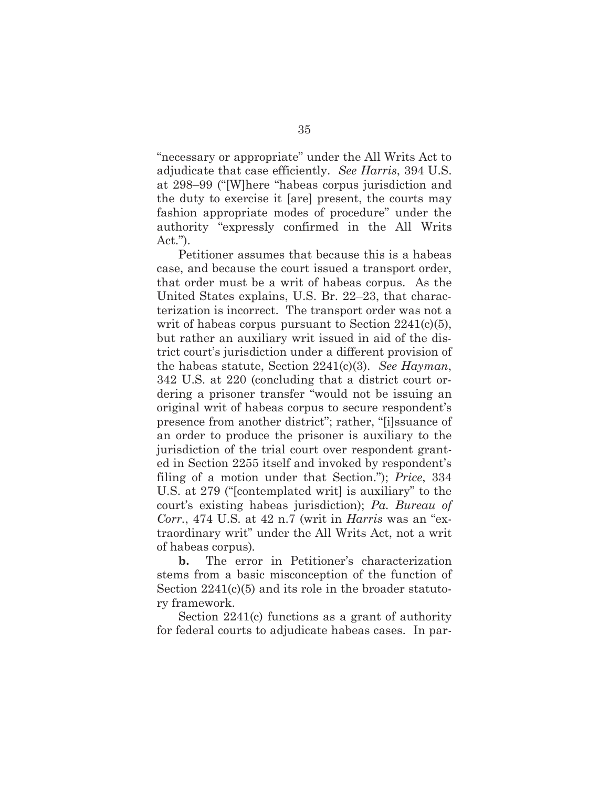"necessary or appropriate" under the All Writs Act to adjudicate that case efficiently. *See Harris*, 394 U.S. at 298–99 ("[W]here "habeas corpus jurisdiction and the duty to exercise it [are] present, the courts may fashion appropriate modes of procedure" under the authority "expressly confirmed in the All Writs Act.").

Petitioner assumes that because this is a habeas case, and because the court issued a transport order, that order must be a writ of habeas corpus. As the United States explains, U.S. Br. 22–23, that characterization is incorrect. The transport order was not a writ of habeas corpus pursuant to Section 2241(c)(5), but rather an auxiliary writ issued in aid of the district court's jurisdiction under a different provision of the habeas statute, Section 2241(c)(3). *See Hayman*, 342 U.S. at 220 (concluding that a district court ordering a prisoner transfer "would not be issuing an original writ of habeas corpus to secure respondent's presence from another district"; rather, "[i]ssuance of an order to produce the prisoner is auxiliary to the jurisdiction of the trial court over respondent granted in Section 2255 itself and invoked by respondent's filing of a motion under that Section."); *Price*, 334 U.S. at 279 ("[contemplated writ] is auxiliary" to the court's existing habeas jurisdiction); *Pa. Bureau of Corr.*, 474 U.S. at 42 n.7 (writ in *Harris* was an "extraordinary writ" under the All Writs Act, not a writ of habeas corpus)*.*

**b.** The error in Petitioner's characterization stems from a basic misconception of the function of Section  $2241(c)(5)$  and its role in the broader statutory framework.

Section 2241(c) functions as a grant of authority for federal courts to adjudicate habeas cases. In par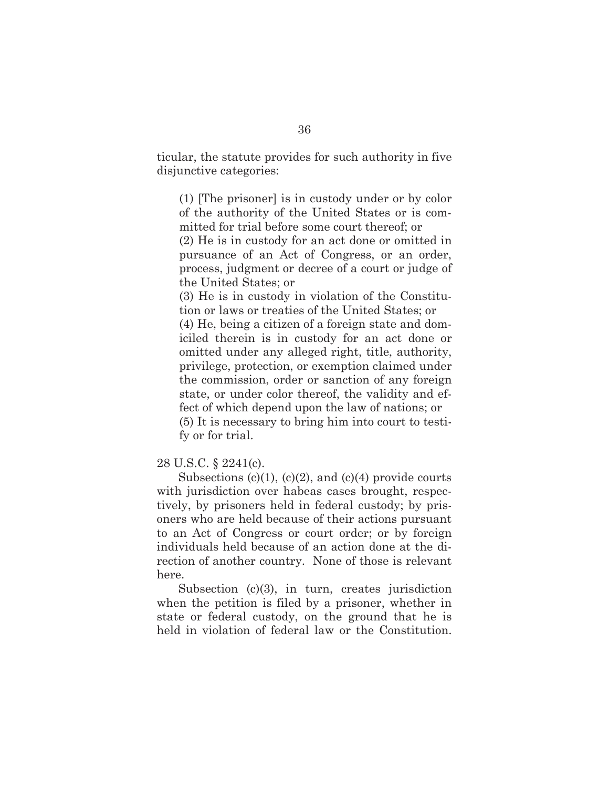ticular, the statute provides for such authority in five disjunctive categories:

(1) [The prisoner] is in custody under or by color of the authority of the United States or is committed for trial before some court thereof; or

(2) He is in custody for an act done or omitted in pursuance of an Act of Congress, or an order, process, judgment or decree of a court or judge of the United States; or

(3) He is in custody in violation of the Constitution or laws or treaties of the United States; or

(4) He, being a citizen of a foreign state and domiciled therein is in custody for an act done or omitted under any alleged right, title, authority, privilege, protection, or exemption claimed under the commission, order or sanction of any foreign state, or under color thereof, the validity and effect of which depend upon the law of nations; or (5) It is necessary to bring him into court to testi-

fy or for trial.

28 U.S.C. § 2241(c).

Subsections  $(c)(1)$ ,  $(c)(2)$ , and  $(c)(4)$  provide courts with jurisdiction over habeas cases brought, respectively, by prisoners held in federal custody; by prisoners who are held because of their actions pursuant to an Act of Congress or court order; or by foreign individuals held because of an action done at the direction of another country. None of those is relevant here.

Subsection (c)(3), in turn, creates jurisdiction when the petition is filed by a prisoner, whether in state or federal custody, on the ground that he is held in violation of federal law or the Constitution.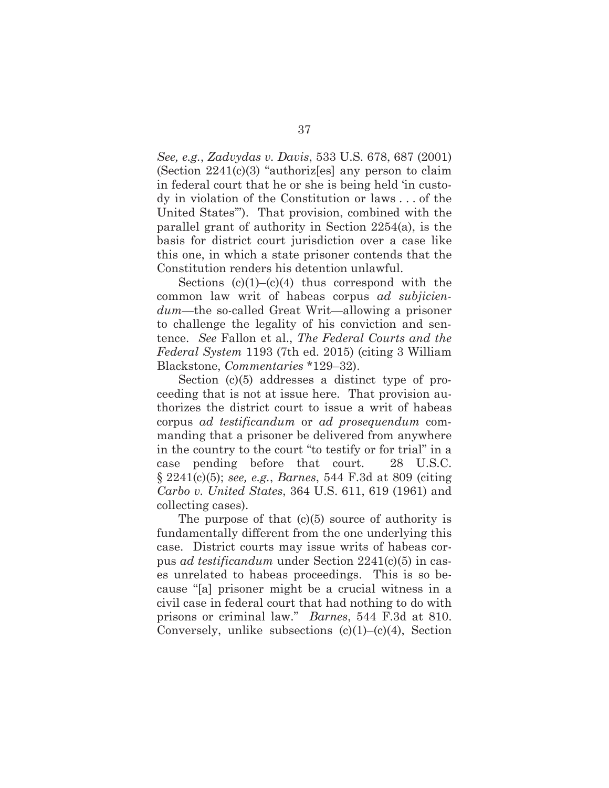*See, e.g.*, *Zadvydas v. Davis*, 533 U.S. 678, 687 (2001) (Section 2241(c)(3) "authoriz[es] any person to claim in federal court that he or she is being held 'in custody in violation of the Constitution or laws . . . of the United States'"). That provision, combined with the parallel grant of authority in Section 2254(a), is the basis for district court jurisdiction over a case like this one, in which a state prisoner contends that the Constitution renders his detention unlawful.

Sections  $(c)(1)$ – $(c)(4)$  thus correspond with the common law writ of habeas corpus *ad subjiciendum*—the so-called Great Writ—allowing a prisoner to challenge the legality of his conviction and sentence. *See* Fallon et al., *The Federal Courts and the Federal System* 1193 (7th ed. 2015) (citing 3 William Blackstone, *Commentaries* \*129–32).

Section (c)(5) addresses a distinct type of proceeding that is not at issue here. That provision authorizes the district court to issue a writ of habeas corpus *ad testificandum* or *ad prosequendum* commanding that a prisoner be delivered from anywhere in the country to the court "to testify or for trial" in a case pending before that court. 28 U.S.C. § 2241(c)(5); *see, e.g.*, *Barnes*, 544 F.3d at 809 (citing *Carbo v. United States*, 364 U.S. 611, 619 (1961) and collecting cases).

The purpose of that  $(c)(5)$  source of authority is fundamentally different from the one underlying this case. District courts may issue writs of habeas corpus *ad testificandum* under Section 2241(c)(5) in cases unrelated to habeas proceedings. This is so because "[a] prisoner might be a crucial witness in a civil case in federal court that had nothing to do with prisons or criminal law." *Barnes*, 544 F.3d at 810. Conversely, unlike subsections  $(c)(1)$ – $(c)(4)$ , Section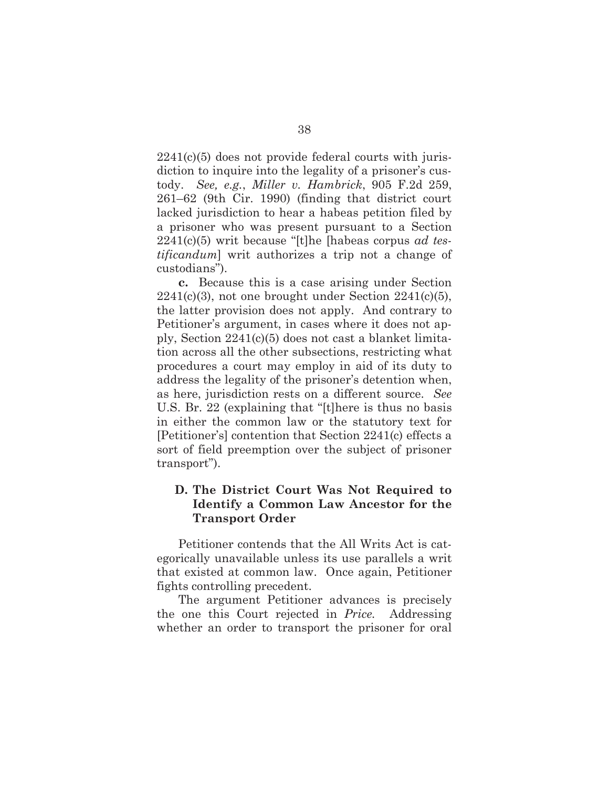$2241(c)(5)$  does not provide federal courts with jurisdiction to inquire into the legality of a prisoner's custody. *See, e.g.*, *Miller v. Hambrick*, 905 F.2d 259, 261–62 (9th Cir. 1990) (finding that district court lacked jurisdiction to hear a habeas petition filed by a prisoner who was present pursuant to a Section 2241(c)(5) writ because "[t]he [habeas corpus *ad testificandum*] writ authorizes a trip not a change of custodians").

**c.** Because this is a case arising under Section  $2241(c)(3)$ , not one brought under Section  $2241(c)(5)$ , the latter provision does not apply. And contrary to Petitioner's argument, in cases where it does not apply, Section 2241(c)(5) does not cast a blanket limitation across all the other subsections, restricting what procedures a court may employ in aid of its duty to address the legality of the prisoner's detention when, as here, jurisdiction rests on a different source. *See* U.S. Br. 22 (explaining that "[t]here is thus no basis in either the common law or the statutory text for [Petitioner's] contention that Section 2241(c) effects a sort of field preemption over the subject of prisoner transport").

## **D. The District Court Was Not Required to Identify a Common Law Ancestor for the Transport Order**

Petitioner contends that the All Writs Act is categorically unavailable unless its use parallels a writ that existed at common law. Once again, Petitioner fights controlling precedent.

The argument Petitioner advances is precisely the one this Court rejected in *Price.* Addressing whether an order to transport the prisoner for oral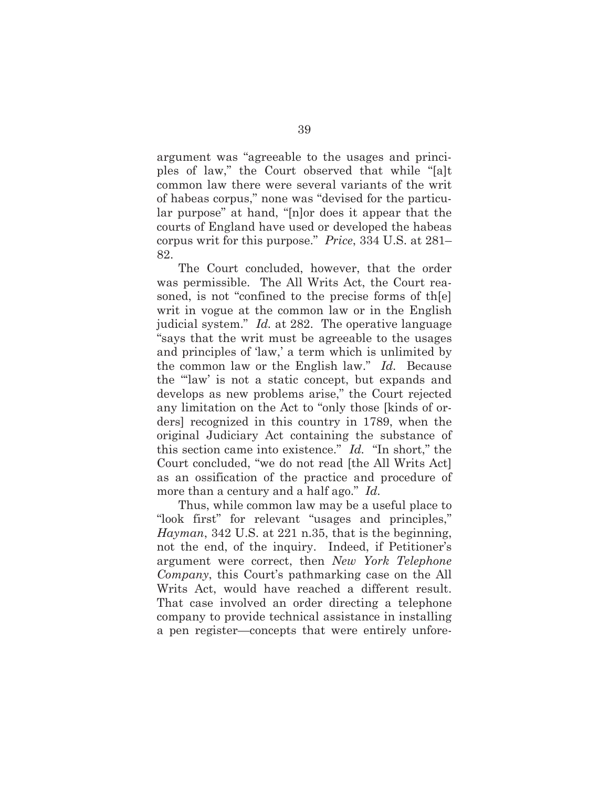argument was "agreeable to the usages and principles of law," the Court observed that while "[a]t common law there were several variants of the writ of habeas corpus," none was "devised for the particular purpose" at hand, "[n]or does it appear that the courts of England have used or developed the habeas corpus writ for this purpose." *Price*, 334 U.S. at 281– 82.

The Court concluded, however, that the order was permissible. The All Writs Act, the Court reasoned, is not "confined to the precise forms of th[e] writ in vogue at the common law or in the English judicial system." *Id.* at 282. The operative language "says that the writ must be agreeable to the usages and principles of 'law,' a term which is unlimited by the common law or the English law." *Id.* Because the "'law' is not a static concept, but expands and develops as new problems arise," the Court rejected any limitation on the Act to "only those [kinds of orders] recognized in this country in 1789, when the original Judiciary Act containing the substance of this section came into existence." *Id.* "In short," the Court concluded, "we do not read [the All Writs Act] as an ossification of the practice and procedure of more than a century and a half ago." *Id.*

Thus, while common law may be a useful place to "look first" for relevant "usages and principles," *Hayman*, 342 U.S. at 221 n.35, that is the beginning, not the end, of the inquiry. Indeed, if Petitioner's argument were correct, then *New York Telephone Company*, this Court's pathmarking case on the All Writs Act, would have reached a different result. That case involved an order directing a telephone company to provide technical assistance in installing a pen register—concepts that were entirely unfore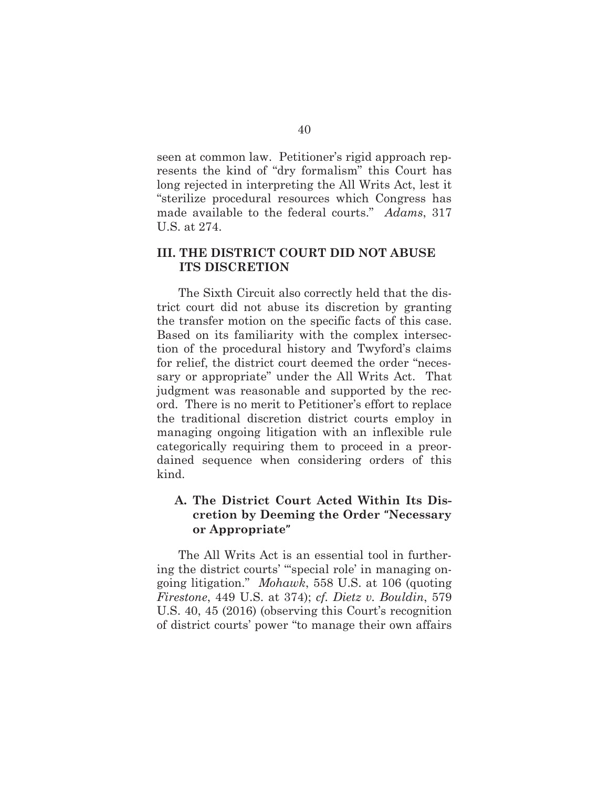seen at common law. Petitioner's rigid approach represents the kind of "dry formalism" this Court has long rejected in interpreting the All Writs Act, lest it "sterilize procedural resources which Congress has made available to the federal courts." *Adams*, 317 U.S. at 274.

## **III. THE DISTRICT COURT DID NOT ABUSE ITS DISCRETION**

The Sixth Circuit also correctly held that the district court did not abuse its discretion by granting the transfer motion on the specific facts of this case. Based on its familiarity with the complex intersection of the procedural history and Twyford's claims for relief, the district court deemed the order "necessary or appropriate" under the All Writs Act. That judgment was reasonable and supported by the record. There is no merit to Petitioner's effort to replace the traditional discretion district courts employ in managing ongoing litigation with an inflexible rule categorically requiring them to proceed in a preordained sequence when considering orders of this kind.

## **A. The District Court Acted Within Its Discretion by Deeming the Order "Necessary or Appropriate"**

The All Writs Act is an essential tool in furthering the district courts' "'special role' in managing ongoing litigation." *Mohawk*, 558 U.S. at 106 (quoting *Firestone*, 449 U.S. at 374); *cf. Dietz v. Bouldin*, 579 U.S. 40, 45 (2016) (observing this Court's recognition of district courts' power "to manage their own affairs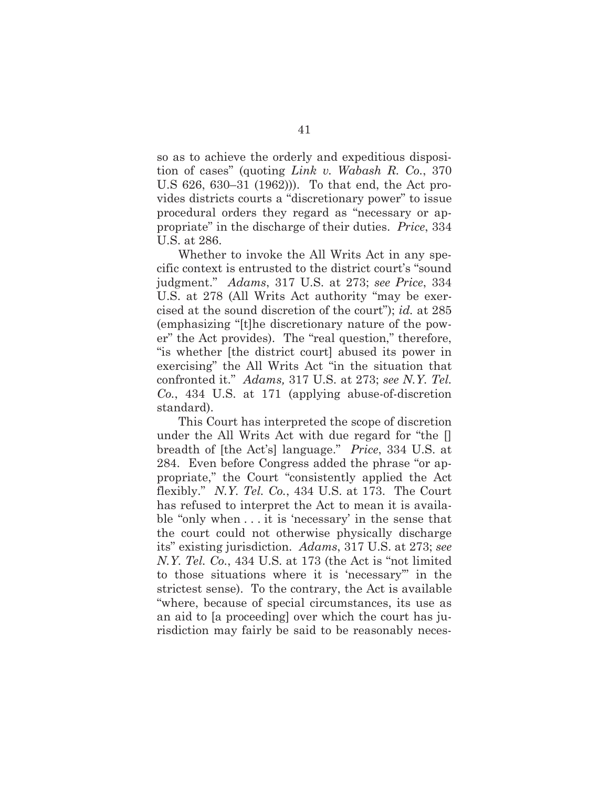so as to achieve the orderly and expeditious disposition of cases" (quoting *Link v. Wabash R. Co.*, 370 U.S 626, 630–31 (1962))). To that end, the Act provides districts courts a "discretionary power" to issue procedural orders they regard as "necessary or appropriate" in the discharge of their duties. *Price*, 334 U.S. at 286.

Whether to invoke the All Writs Act in any specific context is entrusted to the district court's "sound judgment." *Adams*, 317 U.S. at 273; *see Price*, 334 U.S. at 278 (All Writs Act authority "may be exercised at the sound discretion of the court"); *id.* at 285 (emphasizing "[t]he discretionary nature of the power" the Act provides). The "real question," therefore, "is whether [the district court] abused its power in exercising" the All Writs Act "in the situation that confronted it." *Adams,* 317 U.S. at 273; *see N.Y. Tel. Co.*, 434 U.S. at 171 (applying abuse-of-discretion standard).

This Court has interpreted the scope of discretion under the All Writs Act with due regard for "the [] breadth of [the Act's] language." *Price*, 334 U.S. at 284. Even before Congress added the phrase "or appropriate," the Court "consistently applied the Act flexibly." *N.Y. Tel. Co.*, 434 U.S. at 173. The Court has refused to interpret the Act to mean it is available "only when . . . it is 'necessary' in the sense that the court could not otherwise physically discharge its" existing jurisdiction. *Adams*, 317 U.S. at 273; *see N.Y. Tel. Co.*, 434 U.S. at 173 (the Act is "not limited to those situations where it is 'necessary'" in the strictest sense). To the contrary, the Act is available "where, because of special circumstances, its use as an aid to [a proceeding] over which the court has jurisdiction may fairly be said to be reasonably neces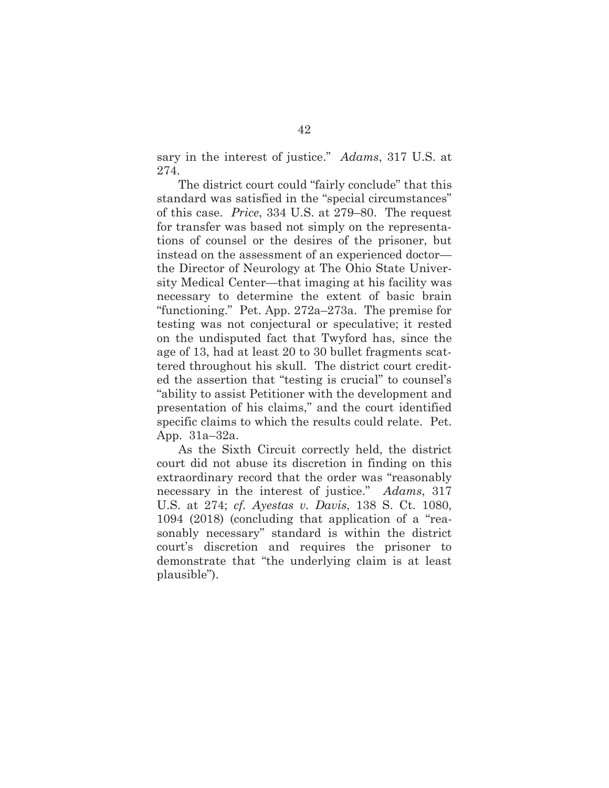sary in the interest of justice." *Adams*, 317 U.S. at 274.

The district court could "fairly conclude" that this standard was satisfied in the "special circumstances" of this case. *Price*, 334 U.S. at 279–80. The request for transfer was based not simply on the representations of counsel or the desires of the prisoner, but instead on the assessment of an experienced doctor the Director of Neurology at The Ohio State University Medical Center—that imaging at his facility was necessary to determine the extent of basic brain "functioning." Pet. App. 272a–273a. The premise for testing was not conjectural or speculative; it rested on the undisputed fact that Twyford has, since the age of 13, had at least 20 to 30 bullet fragments scattered throughout his skull. The district court credited the assertion that "testing is crucial" to counsel's "ability to assist Petitioner with the development and presentation of his claims," and the court identified specific claims to which the results could relate. Pet. App. 31a–32a.

As the Sixth Circuit correctly held, the district court did not abuse its discretion in finding on this extraordinary record that the order was "reasonably necessary in the interest of justice." *Adams*, 317 U.S. at 274; *cf. Ayestas v. Davis*, 138 S. Ct. 1080, 1094 (2018) (concluding that application of a "reasonably necessary" standard is within the district court's discretion and requires the prisoner to demonstrate that "the underlying claim is at least plausible").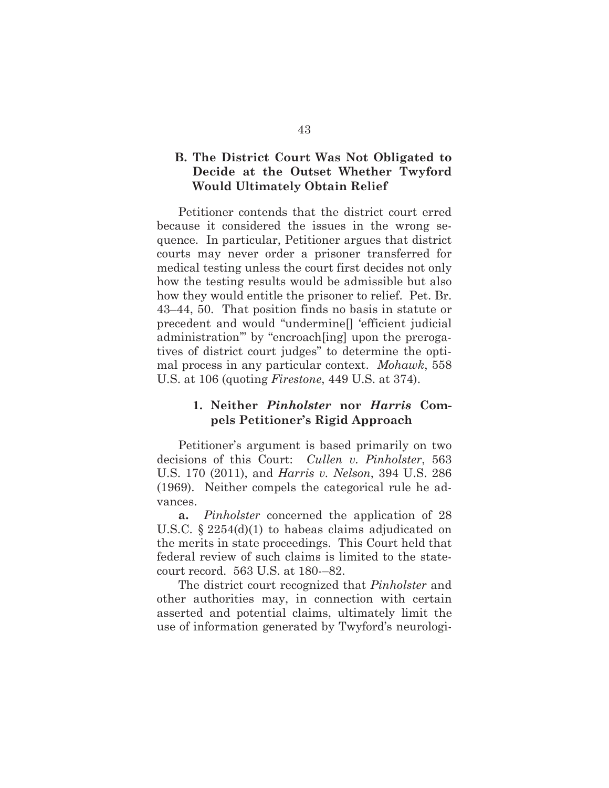## **B. The District Court Was Not Obligated to Decide at the Outset Whether Twyford Would Ultimately Obtain Relief**

Petitioner contends that the district court erred because it considered the issues in the wrong sequence. In particular, Petitioner argues that district courts may never order a prisoner transferred for medical testing unless the court first decides not only how the testing results would be admissible but also how they would entitle the prisoner to relief. Pet. Br. 43–44, 50. That position finds no basis in statute or precedent and would "undermine[] 'efficient judicial administration'" by "encroach[ing] upon the prerogatives of district court judges" to determine the optimal process in any particular context. *Mohawk*, 558 U.S. at 106 (quoting *Firestone*, 449 U.S. at 374).

## **1. Neither** *Pinholster* **nor** *Harris* **Compels Petitioner's Rigid Approach**

Petitioner's argument is based primarily on two decisions of this Court: *Cullen v. Pinholster*, 563 U.S. 170 (2011), and *Harris v. Nelson*, 394 U.S. 286 (1969). Neither compels the categorical rule he advances.

**a.** *Pinholster* concerned the application of 28 U.S.C. § 2254(d)(1) to habeas claims adjudicated on the merits in state proceedings. This Court held that federal review of such claims is limited to the statecourt record. 563 U.S. at 180-–82.

The district court recognized that *Pinholster* and other authorities may, in connection with certain asserted and potential claims, ultimately limit the use of information generated by Twyford's neurologi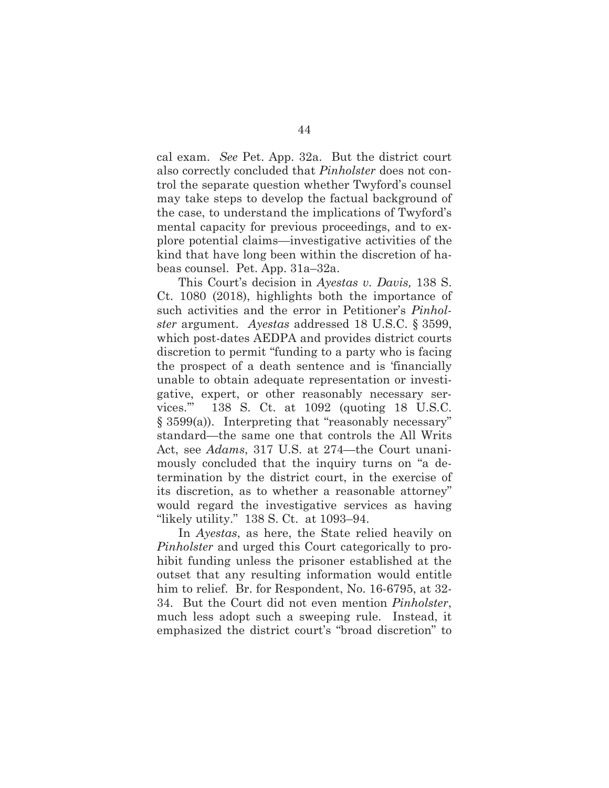cal exam. *See* Pet. App. 32a. But the district court also correctly concluded that *Pinholster* does not control the separate question whether Twyford's counsel may take steps to develop the factual background of the case, to understand the implications of Twyford's mental capacity for previous proceedings, and to explore potential claims—investigative activities of the kind that have long been within the discretion of habeas counsel. Pet. App. 31a–32a.

This Court's decision in *Ayestas v. Davis,* 138 S. Ct. 1080 (2018), highlights both the importance of such activities and the error in Petitioner's *Pinholster* argument. *Ayestas* addressed 18 U.S.C. § 3599, which post-dates AEDPA and provides district courts discretion to permit "funding to a party who is facing the prospect of a death sentence and is 'financially unable to obtain adequate representation or investigative, expert, or other reasonably necessary services.'" 138 S. Ct. at 1092 (quoting 18 U.S.C. § 3599(a)). Interpreting that "reasonably necessary" standard—the same one that controls the All Writs Act, see *Adams*, 317 U.S. at 274—the Court unanimously concluded that the inquiry turns on "a determination by the district court, in the exercise of its discretion, as to whether a reasonable attorney" would regard the investigative services as having "likely utility." 138 S. Ct. at 1093–94.

In *Ayestas*, as here, the State relied heavily on *Pinholster* and urged this Court categorically to prohibit funding unless the prisoner established at the outset that any resulting information would entitle him to relief. Br. for Respondent, No. 16-6795, at 32- 34. But the Court did not even mention *Pinholster*, much less adopt such a sweeping rule. Instead, it emphasized the district court's "broad discretion" to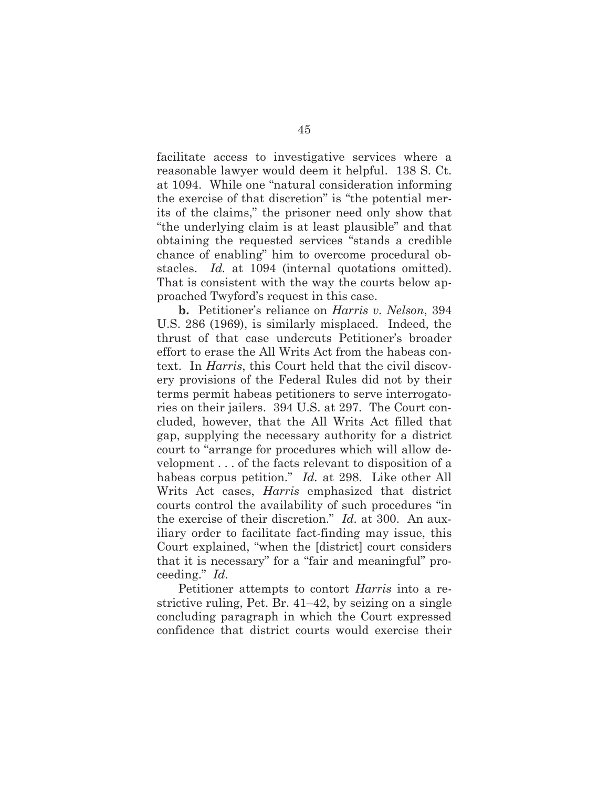facilitate access to investigative services where a reasonable lawyer would deem it helpful. 138 S. Ct. at 1094. While one "natural consideration informing the exercise of that discretion" is "the potential merits of the claims," the prisoner need only show that "the underlying claim is at least plausible" and that obtaining the requested services "stands a credible chance of enabling" him to overcome procedural obstacles. *Id.* at 1094 (internal quotations omitted). That is consistent with the way the courts below approached Twyford's request in this case.

**b.** Petitioner's reliance on *Harris v. Nelson*, 394 U.S. 286 (1969), is similarly misplaced. Indeed, the thrust of that case undercuts Petitioner's broader effort to erase the All Writs Act from the habeas context. In *Harris*, this Court held that the civil discovery provisions of the Federal Rules did not by their terms permit habeas petitioners to serve interrogatories on their jailers. 394 U.S. at 297. The Court concluded, however, that the All Writs Act filled that gap, supplying the necessary authority for a district court to "arrange for procedures which will allow development . . . of the facts relevant to disposition of a habeas corpus petition." *Id.* at 298. Like other All Writs Act cases, *Harris* emphasized that district courts control the availability of such procedures "in the exercise of their discretion." *Id.* at 300. An auxiliary order to facilitate fact-finding may issue, this Court explained, "when the [district] court considers that it is necessary" for a "fair and meaningful" proceeding." *Id.*

Petitioner attempts to contort *Harris* into a restrictive ruling, Pet. Br. 41–42, by seizing on a single concluding paragraph in which the Court expressed confidence that district courts would exercise their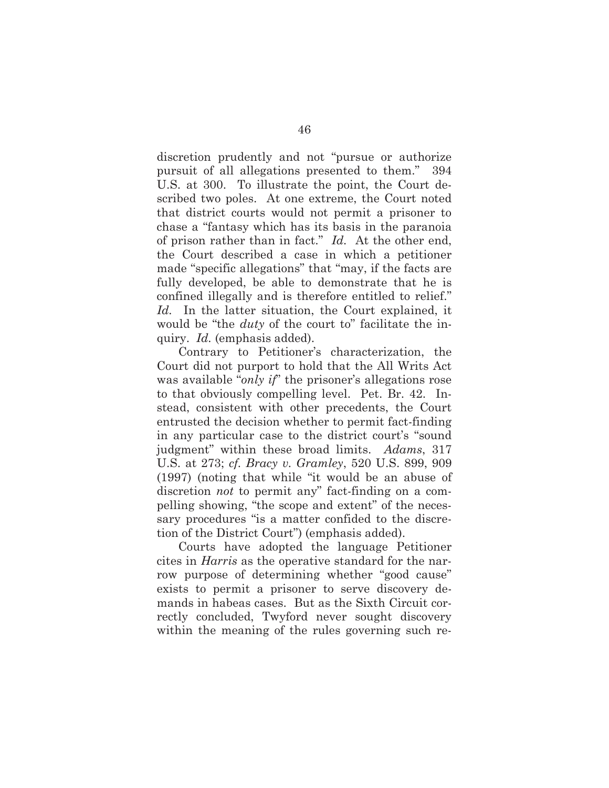discretion prudently and not "pursue or authorize pursuit of all allegations presented to them." 394 U.S. at 300. To illustrate the point, the Court described two poles. At one extreme, the Court noted that district courts would not permit a prisoner to chase a "fantasy which has its basis in the paranoia of prison rather than in fact." *Id.* At the other end, the Court described a case in which a petitioner made "specific allegations" that "may, if the facts are fully developed, be able to demonstrate that he is confined illegally and is therefore entitled to relief." *Id.* In the latter situation, the Court explained, it would be "the *duty* of the court to" facilitate the inquiry. *Id.* (emphasis added).

Contrary to Petitioner's characterization, the Court did not purport to hold that the All Writs Act was available "*only if*" the prisoner's allegations rose to that obviously compelling level. Pet. Br. 42. Instead, consistent with other precedents, the Court entrusted the decision whether to permit fact-finding in any particular case to the district court's "sound judgment" within these broad limits. *Adams*, 317 U.S. at 273; *cf. Bracy v. Gramley*, 520 U.S. 899, 909 (1997) (noting that while "it would be an abuse of discretion *not* to permit any" fact-finding on a compelling showing, "the scope and extent" of the necessary procedures "is a matter confided to the discretion of the District Court") (emphasis added).

Courts have adopted the language Petitioner cites in *Harris* as the operative standard for the narrow purpose of determining whether "good cause" exists to permit a prisoner to serve discovery demands in habeas cases. But as the Sixth Circuit correctly concluded, Twyford never sought discovery within the meaning of the rules governing such re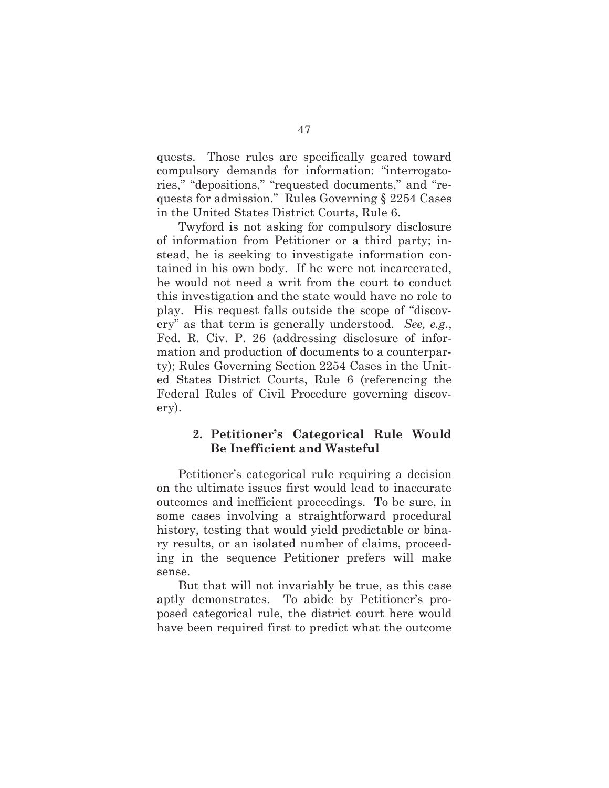quests. Those rules are specifically geared toward compulsory demands for information: "interrogatories," "depositions," "requested documents," and "requests for admission." Rules Governing § 2254 Cases in the United States District Courts, Rule 6.

Twyford is not asking for compulsory disclosure of information from Petitioner or a third party; instead, he is seeking to investigate information contained in his own body. If he were not incarcerated, he would not need a writ from the court to conduct this investigation and the state would have no role to play. His request falls outside the scope of "discovery" as that term is generally understood. *See, e.g.*, Fed. R. Civ. P. 26 (addressing disclosure of information and production of documents to a counterparty); Rules Governing Section 2254 Cases in the United States District Courts, Rule 6 (referencing the Federal Rules of Civil Procedure governing discovery).

## **2. Petitioner's Categorical Rule Would Be Inefficient and Wasteful**

Petitioner's categorical rule requiring a decision on the ultimate issues first would lead to inaccurate outcomes and inefficient proceedings. To be sure, in some cases involving a straightforward procedural history, testing that would yield predictable or binary results, or an isolated number of claims, proceeding in the sequence Petitioner prefers will make sense.

But that will not invariably be true, as this case aptly demonstrates. To abide by Petitioner's proposed categorical rule, the district court here would have been required first to predict what the outcome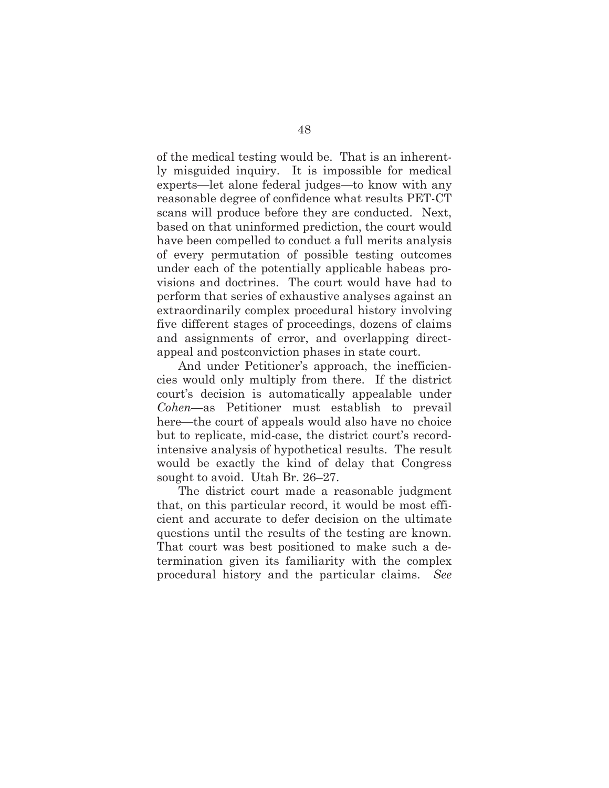of the medical testing would be. That is an inherently misguided inquiry. It is impossible for medical experts—let alone federal judges—to know with any reasonable degree of confidence what results PET-CT scans will produce before they are conducted. Next, based on that uninformed prediction, the court would have been compelled to conduct a full merits analysis of every permutation of possible testing outcomes under each of the potentially applicable habeas provisions and doctrines. The court would have had to perform that series of exhaustive analyses against an extraordinarily complex procedural history involving five different stages of proceedings, dozens of claims and assignments of error, and overlapping directappeal and postconviction phases in state court.

And under Petitioner's approach, the inefficiencies would only multiply from there. If the district court's decision is automatically appealable under *Cohen*—as Petitioner must establish to prevail here—the court of appeals would also have no choice but to replicate, mid-case, the district court's recordintensive analysis of hypothetical results. The result would be exactly the kind of delay that Congress sought to avoid. Utah Br. 26–27.

The district court made a reasonable judgment that, on this particular record, it would be most efficient and accurate to defer decision on the ultimate questions until the results of the testing are known. That court was best positioned to make such a determination given its familiarity with the complex procedural history and the particular claims. *See*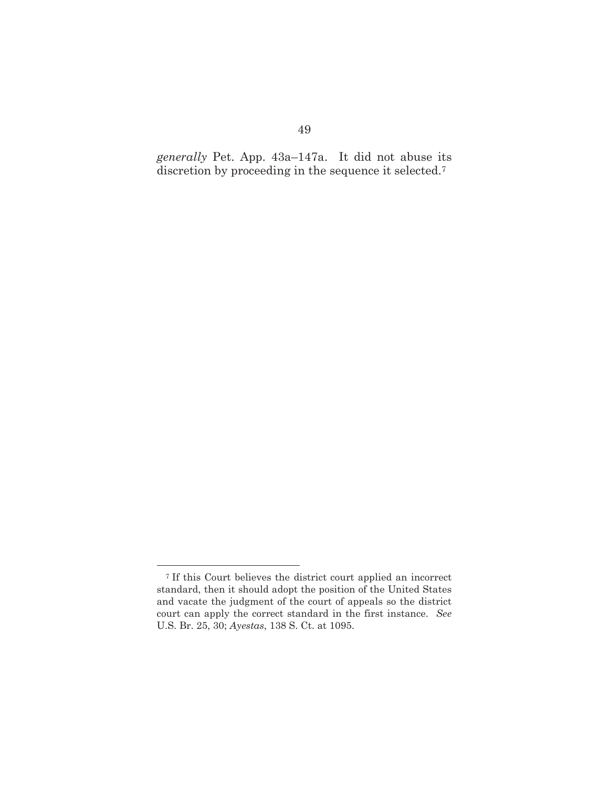*generally* Pet. App. 43a–147a. It did not abuse its discretion by proceeding in the sequence it selected.7

<sup>7</sup> If this Court believes the district court applied an incorrect standard, then it should adopt the position of the United States and vacate the judgment of the court of appeals so the district court can apply the correct standard in the first instance. *See* U.S. Br. 25, 30; *Ayestas*, 138 S. Ct. at 1095.